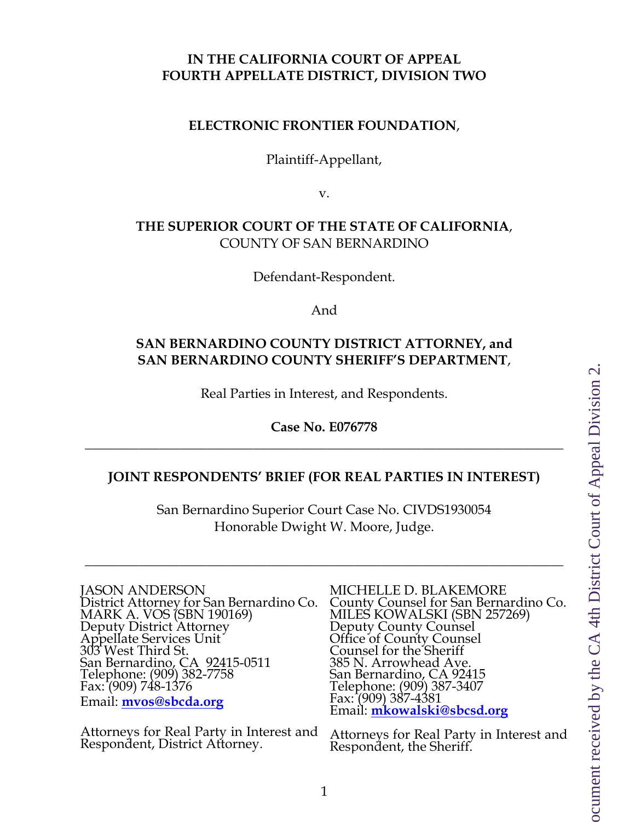### **IN THE CALIFORNIA COURT OF APPEAL FOURTH APPELLATE DISTRICT, DIVISION TWO**

#### **ELECTRONIC FRONTIER FOUNDATION**,

Plaintiff-Appellant,

v.

### **THE SUPERIOR COURT OF THE STATE OF CALIFORNIA**, COUNTY OF SAN BERNARDINO

Defendant-Respondent.

And

### **SAN BERNARDINO COUNTY DISTRICT ATTORNEY, and SAN BERNARDINO COUNTY SHERIFF'S DEPARTMENT**,

Real Parties in Interest, and Respondents.

**Case No. E076778**  $\_$  , and the contribution of the contribution of the contribution of the contribution of the contribution of  $\sim$ 

#### **JOINT RESPONDENTS' BRIEF (FOR REAL PARTIES IN INTEREST)**

San Bernardino Superior Court Case No. CIVDS1930054 Honorable Dwight W. Moore, Judge.

\_\_\_\_\_\_\_\_\_\_\_\_\_\_\_\_\_\_\_\_\_\_\_\_\_\_\_\_\_\_\_\_\_\_\_\_\_\_\_\_\_\_\_\_\_\_\_\_\_\_\_\_\_\_\_\_\_\_\_\_\_\_\_\_\_\_\_\_\_\_\_

JASON ANDERSON District Attorney for San Bernardino Co. MARK A. VOS (SBN 190169) Deputy District Attorney Appellate Services Unit 303 West Third St. San Bernardino, CA 92415-0511 Telephone: (909) 382-7758 Fax: (909) 748-1376 Email: **[mvos@sbcda.org](mailto:mvos@sbcda.org)**

Attorneys for Real Party in Interest and Respondent, District Attorney.

MICHELLE D. BLAKEMORE County Counsel for San Bernardino Co. MILES KOWALSKI (SBN 257269) Deputy County Counsel Office of County Counsel Counsel for the Sheriff 385 N. Arrowhead Ave. San Bernardino, CA 92415 Telephone: (909) 387-3407 Fax: (909) 387-4381 Email: **[mkowalski@sbcsd.org](mailto:mkowalski@sbcsd.org)**

Attorneys for Real Party in Interest and Respondent, the Sheriff.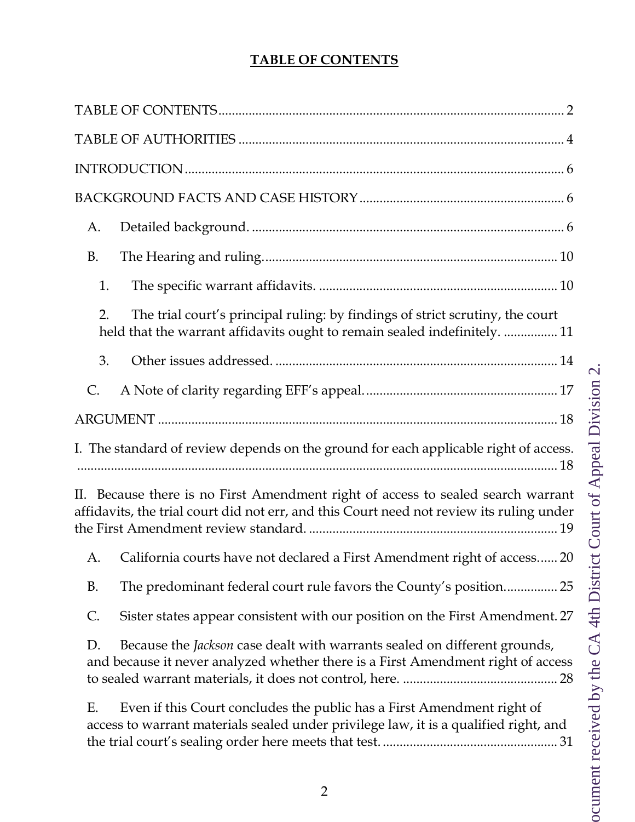# **TABLE OF CONTENTS**

<span id="page-1-0"></span>

| A.                                                                                                                                                                           |
|------------------------------------------------------------------------------------------------------------------------------------------------------------------------------|
| <b>B.</b>                                                                                                                                                                    |
| 1.                                                                                                                                                                           |
| The trial court's principal ruling: by findings of strict scrutiny, the court<br>2.<br>held that the warrant affidavits ought to remain sealed indefinitely.  11             |
| 3.                                                                                                                                                                           |
| C.                                                                                                                                                                           |
|                                                                                                                                                                              |
|                                                                                                                                                                              |
| I. The standard of review depends on the ground for each applicable right of access.                                                                                         |
| II. Because there is no First Amendment right of access to sealed search warrant<br>affidavits, the trial court did not err, and this Court need not review its ruling under |
| California courts have not declared a First Amendment right of access 20<br>A.                                                                                               |
| B.                                                                                                                                                                           |
| Sister states appear consistent with our position on the First Amendment. 27<br>C.                                                                                           |
| Because the <i>Jackson</i> case dealt with warrants sealed on different grounds,<br>D.<br>and because it never analyzed whether there is a First Amendment right of access   |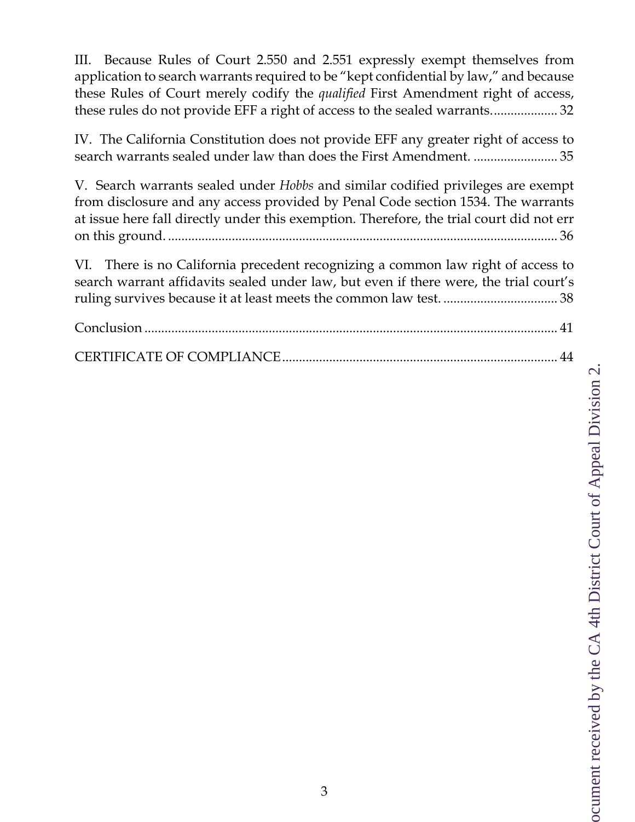[III. Because Rules of Court 2.550 and 2.551 expressly exempt themselves from](#page-31-0)  [application to search warrants required to be "kept confidential by law," and because](#page-31-0)  [these Rules of Court merely codify the](#page-31-0) *qualified* First Amendment right of access, [these rules do not provide EFF a right of access to the sealed warrants....................](#page-31-0) 32

[IV. The California Constitution does not provide EFF any greater right of access to](#page-34-0)  [search warrants sealed under law than does the First Amendment.](#page-34-0) ......................... 35

V. Search warrants sealed under *Hobbs* [and similar codified privileges are exempt](#page-35-0)  [from disclosure and any access provided by Penal Code section 1534. The warrants](#page-35-0)  [at issue here fall directly under this exemption. Therefore, the trial court did not err](#page-35-0)  on this ground. [....................................................................................................................](#page-35-0) 36

[VI. There is no California precedent recognizing a common law right of access to](#page-37-0)  [search warrant affidavits sealed under law, but even if there were, the trial court's](#page-37-0)  [ruling survives because it at least meets the common law test.](#page-37-0) .................................. 38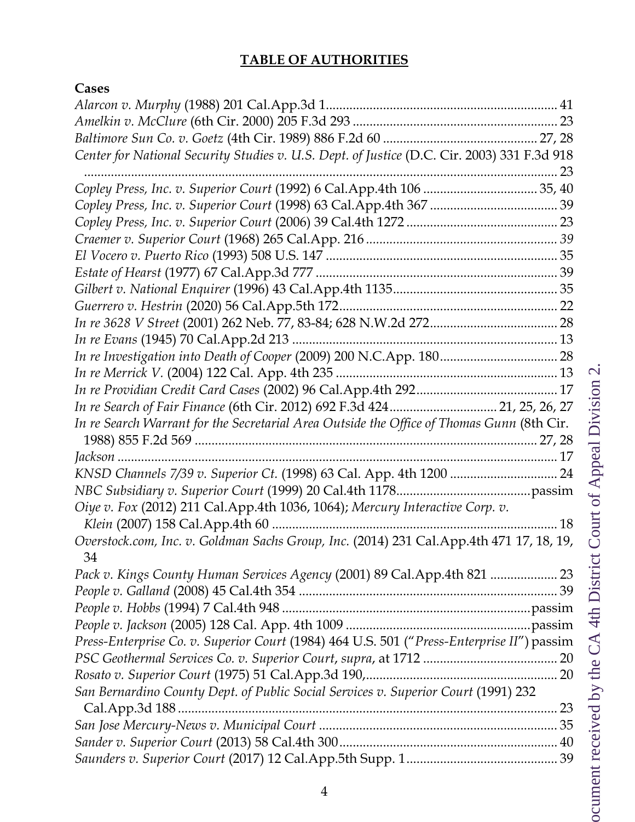# **TABLE OF AUTHORITIES**

# <span id="page-3-0"></span>**Cases**

| Center for National Security Studies v. U.S. Dept. of Justice (D.C. Cir. 2003) 331 F.3d 918 |  |
|---------------------------------------------------------------------------------------------|--|
|                                                                                             |  |
|                                                                                             |  |
|                                                                                             |  |
|                                                                                             |  |
|                                                                                             |  |
|                                                                                             |  |
|                                                                                             |  |
|                                                                                             |  |
|                                                                                             |  |
|                                                                                             |  |
|                                                                                             |  |
|                                                                                             |  |
|                                                                                             |  |
|                                                                                             |  |
| In re Search of Fair Finance (6th Cir. 2012) 692 F.3d 424 21, 25, 26, 27                    |  |
| In re Search Warrant for the Secretarial Area Outside the Office of Thomas Gunn (8th Cir.   |  |
|                                                                                             |  |
|                                                                                             |  |
|                                                                                             |  |
|                                                                                             |  |
| Oiye v. Fox (2012) 211 Cal.App.4th 1036, 1064); Mercury Interactive Corp. v.                |  |
| Overstock.com, Inc. v. Goldman Sachs Group, Inc. (2014) 231 Cal.App.4th 471 17, 18, 19,     |  |
| 34                                                                                          |  |
| Pack v. Kings County Human Services Agency (2001) 89 Cal.App.4th 821  23                    |  |
|                                                                                             |  |
|                                                                                             |  |
|                                                                                             |  |
| Press-Enterprise Co. v. Superior Court (1984) 464 U.S. 501 ("Press-Enterprise II") passim   |  |
|                                                                                             |  |
|                                                                                             |  |
| San Bernardino County Dept. of Public Social Services v. Superior Court (1991) 232          |  |
|                                                                                             |  |
|                                                                                             |  |
|                                                                                             |  |
|                                                                                             |  |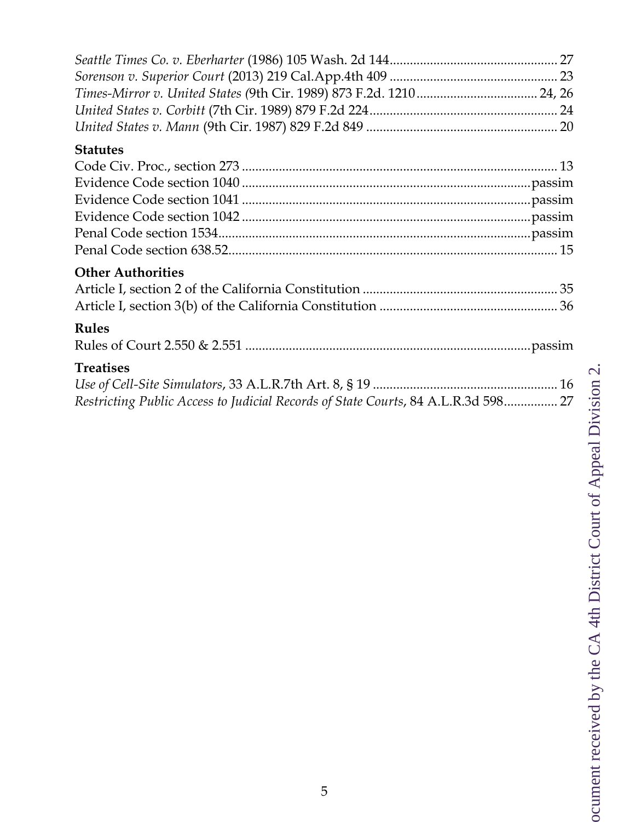| <b>Statutes</b>                                                                                       |  |
|-------------------------------------------------------------------------------------------------------|--|
| <b>Other Authorities</b>                                                                              |  |
| <b>Rules</b>                                                                                          |  |
| <b>Treatises</b><br>Restricting Public Access to Judicial Records of State Courts, 84 A.L.R.3d 598 27 |  |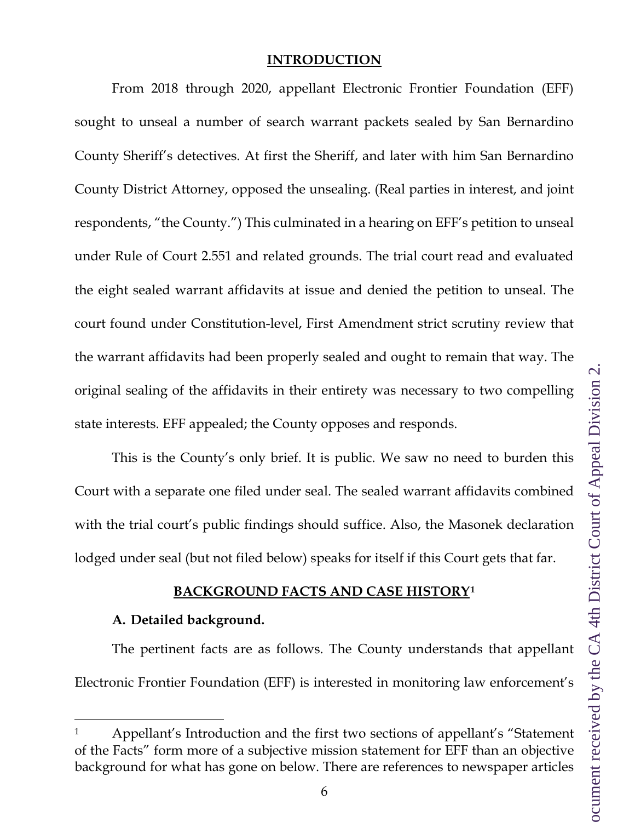#### **INTRODUCTION**

<span id="page-5-0"></span>From 2018 through 2020, appellant Electronic Frontier Foundation (EFF) sought to unseal a number of search warrant packets sealed by San Bernardino County Sheriff's detectives. At first the Sheriff, and later with him San Bernardino County District Attorney, opposed the unsealing. (Real parties in interest, and joint respondents, "the County.") This culminated in a hearing on EFF's petition to unseal under Rule of Court 2.551 and related grounds. The trial court read and evaluated the eight sealed warrant affidavits at issue and denied the petition to unseal. The court found under Constitution-level, First Amendment strict scrutiny review that the warrant affidavits had been properly sealed and ought to remain that way. The original sealing of the affidavits in their entirety was necessary to two compelling state interests. EFF appealed; the County opposes and responds.

This is the County's only brief. It is public. We saw no need to burden this Court with a separate one filed under seal. The sealed warrant affidavits combined with the trial court's public findings should suffice. Also, the Masonek declaration lodged under seal (but not filed below) speaks for itself if this Court gets that far.

### **BACKGROUND FACTS AND CASE HISTORY[1](#page-5-3)**

#### <span id="page-5-1"></span>**A. Detailed background.**

<span id="page-5-2"></span>The pertinent facts are as follows. The County understands that appellant Electronic Frontier Foundation (EFF) is interested in monitoring law enforcement's

<span id="page-5-3"></span><sup>1</sup> Appellant's Introduction and the first two sections of appellant's "Statement of the Facts" form more of a subjective mission statement for EFF than an objective background for what has gone on below. There are references to newspaper articles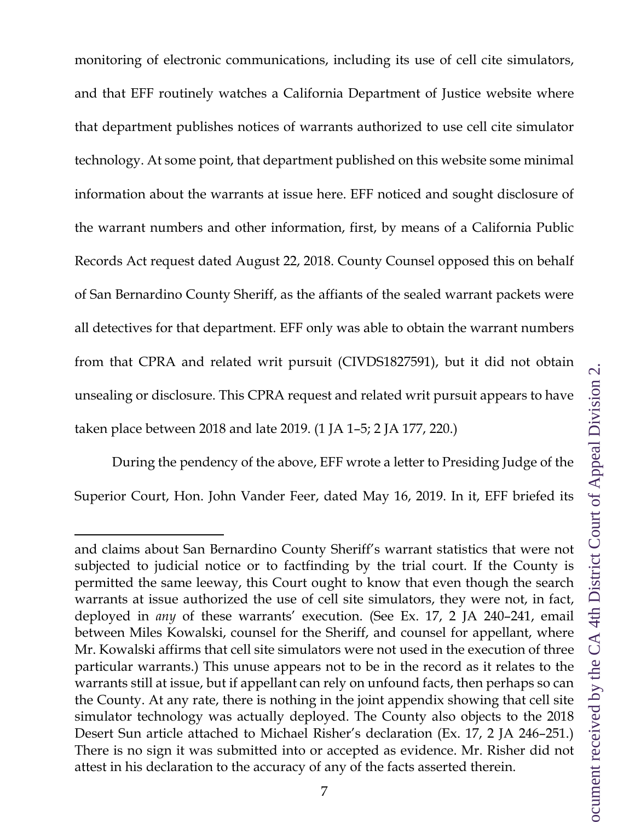monitoring of electronic communications, including its use of cell cite simulators, and that EFF routinely watches a California Department of Justice website where that department publishes notices of warrants authorized to use cell cite simulator technology. At some point, that department published on this website some minimal information about the warrants at issue here. EFF noticed and sought disclosure of the warrant numbers and other information, first, by means of a California Public Records Act request dated August 22, 2018. County Counsel opposed this on behalf of San Bernardino County Sheriff, as the affiants of the sealed warrant packets were all detectives for that department. EFF only was able to obtain the warrant numbers from that CPRA and related writ pursuit (CIVDS1827591), but it did not obtain unsealing or disclosure. This CPRA request and related writ pursuit appears to have taken place between 2018 and late 2019. (1 JA 1–5; 2 JA 177, 220.)

During the pendency of the above, EFF wrote a letter to Presiding Judge of the Superior Court, Hon. John Vander Feer, dated May 16, 2019. In it, EFF briefed its

and claims about San Bernardino County Sheriff's warrant statistics that were not subjected to judicial notice or to factfinding by the trial court. If the County is permitted the same leeway, this Court ought to know that even though the search warrants at issue authorized the use of cell site simulators, they were not, in fact, deployed in *any* of these warrants' execution. (See Ex. 17, 2 JA 240–241, email between Miles Kowalski, counsel for the Sheriff, and counsel for appellant, where Mr. Kowalski affirms that cell site simulators were not used in the execution of three particular warrants.) This unuse appears not to be in the record as it relates to the warrants still at issue, but if appellant can rely on unfound facts, then perhaps so can the County. At any rate, there is nothing in the joint appendix showing that cell site simulator technology was actually deployed. The County also objects to the 2018 Desert Sun article attached to Michael Risher's declaration (Ex. 17, 2 JA 246–251.) There is no sign it was submitted into or accepted as evidence. Mr. Risher did not attest in his declaration to the accuracy of any of the facts asserted therein.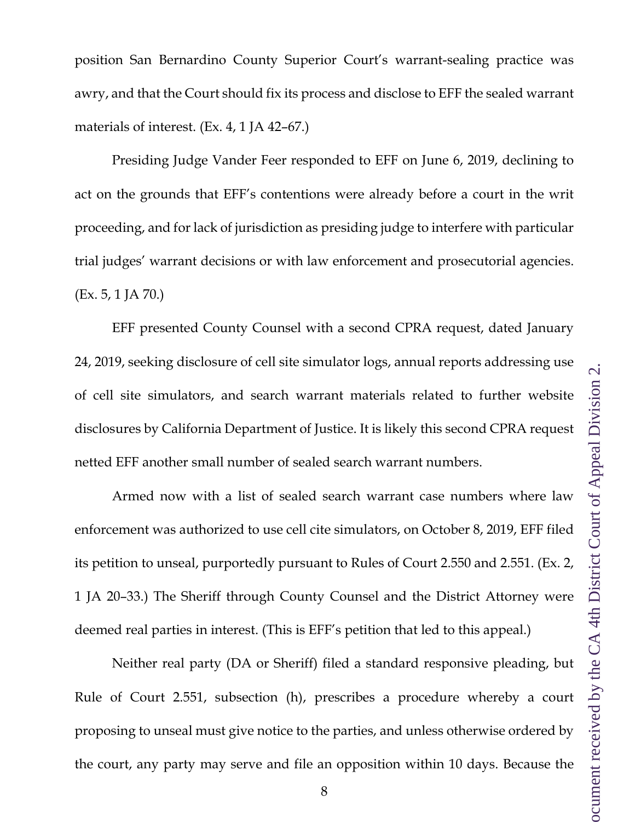position San Bernardino County Superior Court's warrant-sealing practice was awry, and that the Court should fix its process and disclose to EFF the sealed warrant materials of interest. (Ex. 4, 1 JA 42–67.)

Presiding Judge Vander Feer responded to EFF on June 6, 2019, declining to act on the grounds that EFF's contentions were already before a court in the writ proceeding, and for lack of jurisdiction as presiding judge to interfere with particular trial judges' warrant decisions or with law enforcement and prosecutorial agencies. (Ex. 5, 1 JA 70.)

EFF presented County Counsel with a second CPRA request, dated January 24, 2019, seeking disclosure of cell site simulator logs, annual reports addressing use of cell site simulators, and search warrant materials related to further website disclosures by California Department of Justice. It is likely this second CPRA request netted EFF another small number of sealed search warrant numbers.

Armed now with a list of sealed search warrant case numbers where law enforcement was authorized to use cell cite simulators, on October 8, 2019, EFF filed its petition to unseal, purportedly pursuant to Rules of Court 2.550 and 2.551. (Ex. 2, 1 JA 20–33.) The Sheriff through County Counsel and the District Attorney were deemed real parties in interest. (This is EFF's petition that led to this appeal.)

Neither real party (DA or Sheriff) filed a standard responsive pleading, but Rule of Court 2.551, subsection (h), prescribes a procedure whereby a court proposing to unseal must give notice to the parties, and unless otherwise ordered by the court, any party may serve and file an opposition within 10 days. Because the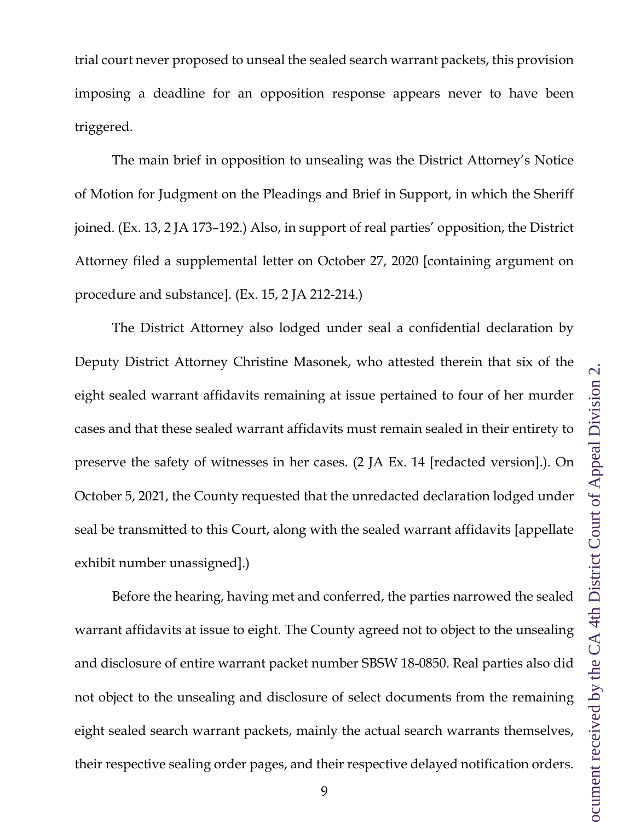trial court never proposed to unseal the sealed search warrant packets, this provision imposing a deadline for an opposition response appears never to have been triggered.

The main brief in opposition to unsealing was the District Attorney's Notice of Motion for Judgment on the Pleadings and Brief in Support, in which the Sheriff joined. (Ex. 13, 2 JA 173–192.) Also, in support of real parties' opposition, the District Attorney filed a supplemental letter on October 27, 2020 [containing argument on procedure and substance]. (Ex. 15, 2 JA 212-214.)

The District Attorney also lodged under seal a confidential declaration by Deputy District Attorney Christine Masonek, who attested therein that six of the eight sealed warrant affidavits remaining at issue pertained to four of her murder cases and that these sealed warrant affidavits must remain sealed in their entirety to preserve the safety of witnesses in her cases. (2 JA Ex. 14 [redacted version].). On October 5, 2021, the County requested that the unredacted declaration lodged under seal be transmitted to this Court, along with the sealed warrant affidavits [appellate exhibit number unassigned].)

Before the hearing, having met and conferred, the parties narrowed the sealed warrant affidavits at issue to eight. The County agreed not to object to the unsealing and disclosure of entire warrant packet number SBSW 18-0850. Real parties also did not object to the unsealing and disclosure of select documents from the remaining eight sealed search warrant packets, mainly the actual search warrants themselves, their respective sealing order pages, and their respective delayed notification orders.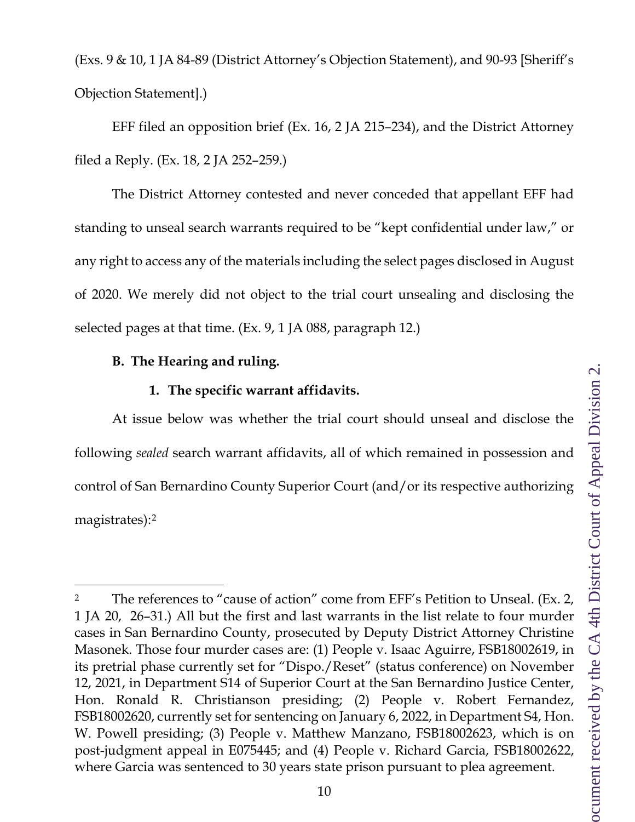(Exs. 9 & 10, 1 JA 84-89 (District Attorney's Objection Statement), and 90-93 [Sheriff's Objection Statement].)

EFF filed an opposition brief (Ex. 16, 2 JA 215–234), and the District Attorney filed a Reply. (Ex. 18, 2 JA 252–259.)

The District Attorney contested and never conceded that appellant EFF had standing to unseal search warrants required to be "kept confidential under law," or any right to access any of the materials including the select pages disclosed in August of 2020. We merely did not object to the trial court unsealing and disclosing the selected pages at that time. (Ex. 9, 1 JA 088, paragraph 12.)

### <span id="page-9-0"></span>**B. The Hearing and ruling.**

#### **1. The specific warrant affidavits.**

<span id="page-9-1"></span>At issue below was whether the trial court should unseal and disclose the following *sealed* search warrant affidavits, all of which remained in possession and control of San Bernardino County Superior Court (and/or its respective authorizing magistrates):[2](#page-9-2)

<span id="page-9-2"></span><sup>&</sup>lt;sup>2</sup> The references to "cause of action" come from EFF's Petition to Unseal. (Ex. 2, 1 JA 20, 26–31.) All but the first and last warrants in the list relate to four murder cases in San Bernardino County, prosecuted by Deputy District Attorney Christine Masonek. Those four murder cases are: (1) People v. Isaac Aguirre, FSB18002619, in its pretrial phase currently set for "Dispo./Reset" (status conference) on November 12, 2021, in Department S14 of Superior Court at the San Bernardino Justice Center, Hon. Ronald R. Christianson presiding; (2) People v. Robert Fernandez, FSB18002620, currently set for sentencing on January 6, 2022, in Department S4, Hon. W. Powell presiding; (3) People v. Matthew Manzano, FSB18002623, which is on post-judgment appeal in E075445; and (4) People v. Richard Garcia, FSB18002622, where Garcia was sentenced to 30 years state prison pursuant to plea agreement.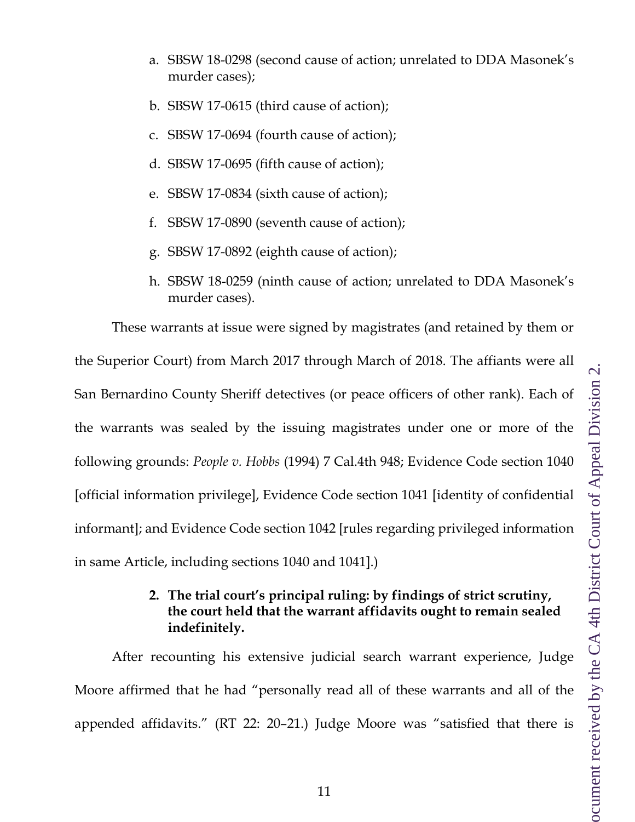- a. SBSW 18-0298 (second cause of action; unrelated to DDA Masonek's murder cases);
- b. SBSW 17-0615 (third cause of action);
- c. SBSW 17-0694 (fourth cause of action);
- d. SBSW 17-0695 (fifth cause of action);
- e. SBSW 17-0834 (sixth cause of action);
- f. SBSW 17-0890 (seventh cause of action);
- g. SBSW 17-0892 (eighth cause of action);
- h. SBSW 18-0259 (ninth cause of action; unrelated to DDA Masonek's murder cases).

These warrants at issue were signed by magistrates (and retained by them or the Superior Court) from March 2017 through March of 2018. The affiants were all San Bernardino County Sheriff detectives (or peace officers of other rank). Each of the warrants was sealed by the issuing magistrates under one or more of the following grounds: *People v. Hobbs* (1994) 7 Cal.4th 948; Evidence Code section 1040 [official information privilege], Evidence Code section 1041 [identity of confidential informant]; and Evidence Code section 1042 [rules regarding privileged information in same Article, including sections 1040 and 1041].)

### **2. The trial court's principal ruling: by findings of strict scrutiny, the court held that the warrant affidavits ought to remain sealed indefinitely.**

<span id="page-10-0"></span>After recounting his extensive judicial search warrant experience, Judge Moore affirmed that he had "personally read all of these warrants and all of the appended affidavits." (RT 22: 20–21.) Judge Moore was "satisfied that there is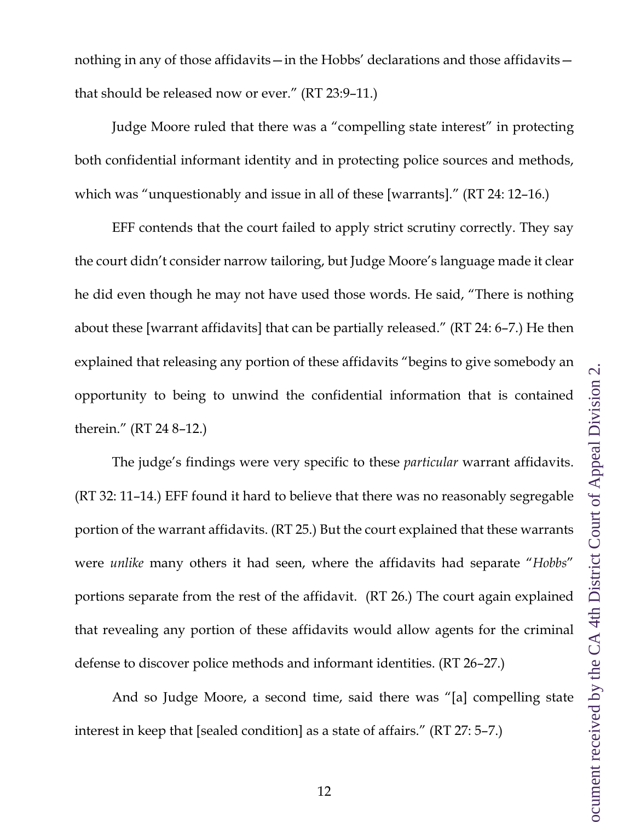nothing in any of those affidavits—in the Hobbs' declarations and those affidavits that should be released now or ever." (RT 23:9–11.)

Judge Moore ruled that there was a "compelling state interest" in protecting both confidential informant identity and in protecting police sources and methods, which was "unquestionably and issue in all of these [warrants]." (RT 24: 12–16.)

EFF contends that the court failed to apply strict scrutiny correctly. They say the court didn't consider narrow tailoring, but Judge Moore's language made it clear he did even though he may not have used those words. He said, "There is nothing about these [warrant affidavits] that can be partially released." (RT 24: 6–7.) He then explained that releasing any portion of these affidavits "begins to give somebody an opportunity to being to unwind the confidential information that is contained therein." (RT 24 8–12.)

The judge's findings were very specific to these *particular* warrant affidavits. (RT 32: 11–14.) EFF found it hard to believe that there was no reasonably segregable portion of the warrant affidavits. (RT 25.) But the court explained that these warrants were *unlike* many others it had seen, where the affidavits had separate "*Hobbs*" portions separate from the rest of the affidavit. (RT 26.) The court again explained that revealing any portion of these affidavits would allow agents for the criminal defense to discover police methods and informant identities. (RT 26–27.)

And so Judge Moore, a second time, said there was "[a] compelling state interest in keep that [sealed condition] as a state of affairs." (RT 27: 5–7.)

12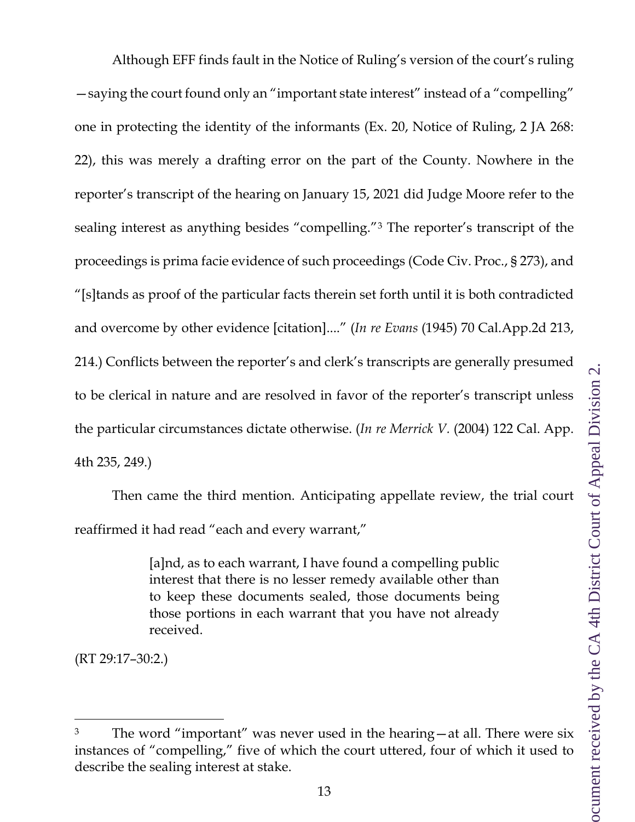Although EFF finds fault in the Notice of Ruling's version of the court's ruling —saying the court found only an "important state interest" instead of a "compelling" one in protecting the identity of the informants (Ex. 20, Notice of Ruling, 2 JA 268: 22), this was merely a drafting error on the part of the County. Nowhere in the reporter's transcript of the hearing on January 15, 2021 did Judge Moore refer to the sealing interest as anything besides "compelling."[3](#page-12-0) The reporter's transcript of the proceedings is prima facie evidence of such proceedings (Code Civ. Proc., § 273), and "[s]tands as proof of the particular facts therein set forth until it is both contradicted and overcome by other evidence [citation]...." (*In re Evans* (1945) 70 Cal.App.2d 213, 214.) Conflicts between the reporter's and clerk's transcripts are generally presumed to be clerical in nature and are resolved in favor of the reporter's transcript unless the particular circumstances dictate otherwise. (*In re Merrick V.* (2004) 122 Cal. App. 4th 235, 249.)

Then came the third mention. Anticipating appellate review, the trial court reaffirmed it had read "each and every warrant,"

> [a]nd, as to each warrant, I have found a compelling public interest that there is no lesser remedy available other than to keep these documents sealed, those documents being those portions in each warrant that you have not already received.

(RT 29:17–30:2.)

<span id="page-12-0"></span>The word "important" was never used in the hearing—at all. There were six instances of "compelling," five of which the court uttered, four of which it used to describe the sealing interest at stake.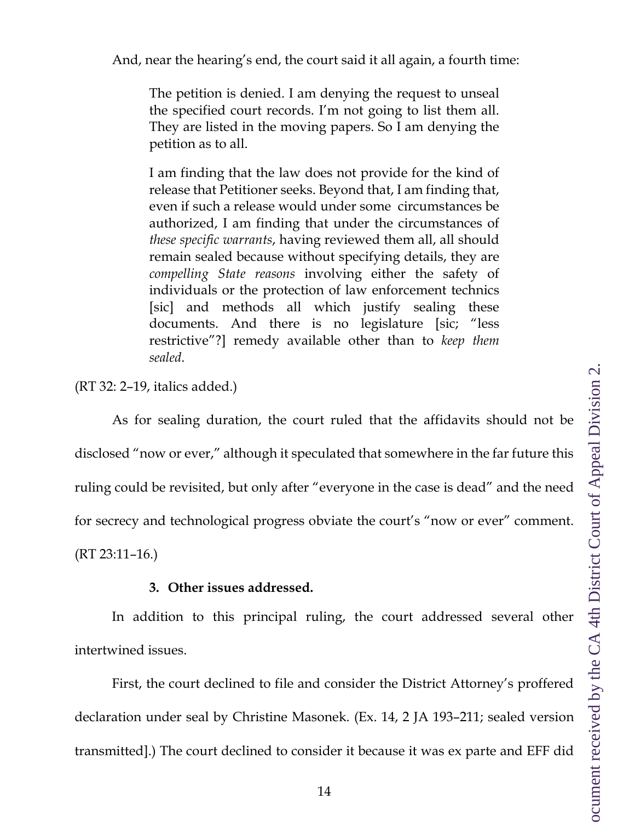And, near the hearing's end, the court said it all again, a fourth time:

The petition is denied. I am denying the request to unseal the specified court records. I'm not going to list them all. They are listed in the moving papers. So I am denying the petition as to all.

I am finding that the law does not provide for the kind of release that Petitioner seeks. Beyond that, I am finding that, even if such a release would under some circumstances be authorized, I am finding that under the circumstances of *these specific warrants*, having reviewed them all, all should remain sealed because without specifying details, they are *compelling State reasons* involving either the safety of individuals or the protection of law enforcement technics [sic] and methods all which justify sealing these documents. And there is no legislature [sic; "less restrictive"?] remedy available other than to *keep them sealed*.

(RT 32: 2–19, italics added.)

As for sealing duration, the court ruled that the affidavits should not be disclosed "now or ever," although it speculated that somewhere in the far future this ruling could be revisited, but only after "everyone in the case is dead" and the need for secrecy and technological progress obviate the court's "now or ever" comment. (RT 23:11–16.)

### **3. Other issues addressed.**

<span id="page-13-0"></span>In addition to this principal ruling, the court addressed several other intertwined issues.

First, the court declined to file and consider the District Attorney's proffered declaration under seal by Christine Masonek. (Ex. 14, 2 JA 193–211; sealed version transmitted].) The court declined to consider it because it was ex parte and EFF did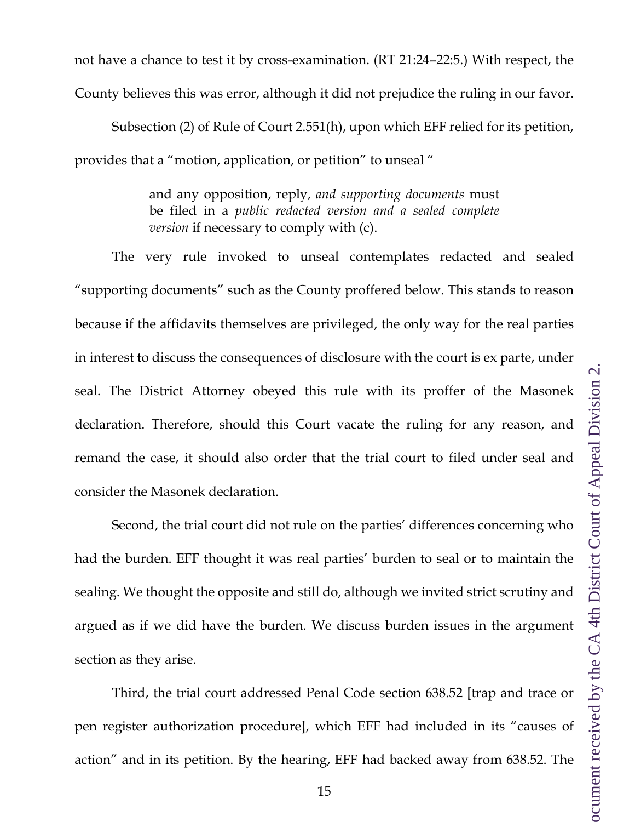not have a chance to test it by cross-examination. (RT 21:24–22:5.) With respect, the County believes this was error, although it did not prejudice the ruling in our favor.

Subsection (2) of Rule of Court 2.551(h), upon which EFF relied for its petition, provides that a "motion, application, or petition" to unseal "

> and any opposition, reply, *and supporting documents* must be filed in a *public redacted version and a sealed complete version* if necessary to comply with (c).

The very rule invoked to unseal contemplates redacted and sealed "supporting documents" such as the County proffered below. This stands to reason because if the affidavits themselves are privileged, the only way for the real parties in interest to discuss the consequences of disclosure with the court is ex parte, under seal. The District Attorney obeyed this rule with its proffer of the Masonek declaration. Therefore, should this Court vacate the ruling for any reason, and remand the case, it should also order that the trial court to filed under seal and consider the Masonek declaration.

Second, the trial court did not rule on the parties' differences concerning who had the burden. EFF thought it was real parties' burden to seal or to maintain the sealing. We thought the opposite and still do, although we invited strict scrutiny and argued as if we did have the burden. We discuss burden issues in the argument section as they arise.

Third, the trial court addressed Penal Code section 638.52 [trap and trace or pen register authorization procedure], which EFF had included in its "causes of action" and in its petition. By the hearing, EFF had backed away from 638.52. The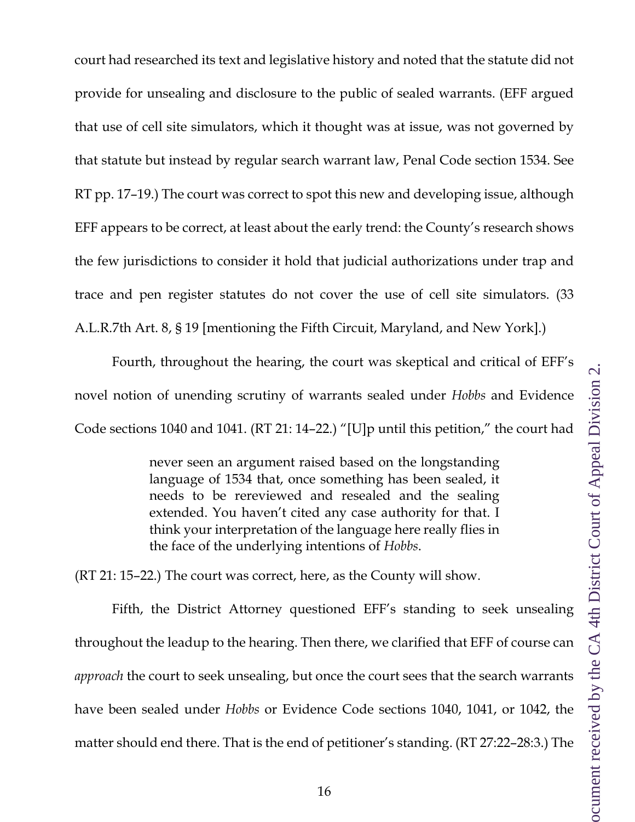court had researched its text and legislative history and noted that the statute did not provide for unsealing and disclosure to the public of sealed warrants. (EFF argued that use of cell site simulators, which it thought was at issue, was not governed by that statute but instead by regular search warrant law, Penal Code section 1534. See RT pp. 17–19.) The court was correct to spot this new and developing issue, although EFF appears to be correct, at least about the early trend: the County's research shows the few jurisdictions to consider it hold that judicial authorizations under trap and trace and pen register statutes do not cover the use of cell site simulators. (33 A.L.R.7th Art. 8, § 19 [mentioning the Fifth Circuit, Maryland, and New York].)

Fourth, throughout the hearing, the court was skeptical and critical of EFF's novel notion of unending scrutiny of warrants sealed under *Hobbs* and Evidence Code sections 1040 and 1041. (RT 21: 14–22.) "[U]p until this petition," the court had

> never seen an argument raised based on the longstanding language of 1534 that, once something has been sealed, it needs to be rereviewed and resealed and the sealing extended. You haven't cited any case authority for that. I think your interpretation of the language here really flies in the face of the underlying intentions of *Hobbs*.

(RT 21: 15–22.) The court was correct, here, as the County will show.

Fifth, the District Attorney questioned EFF's standing to seek unsealing throughout the leadup to the hearing. Then there, we clarified that EFF of course can *approach* the court to seek unsealing, but once the court sees that the search warrants have been sealed under *Hobbs* or Evidence Code sections 1040, 1041, or 1042, the matter should end there. That is the end of petitioner's standing. (RT 27:22–28:3.) The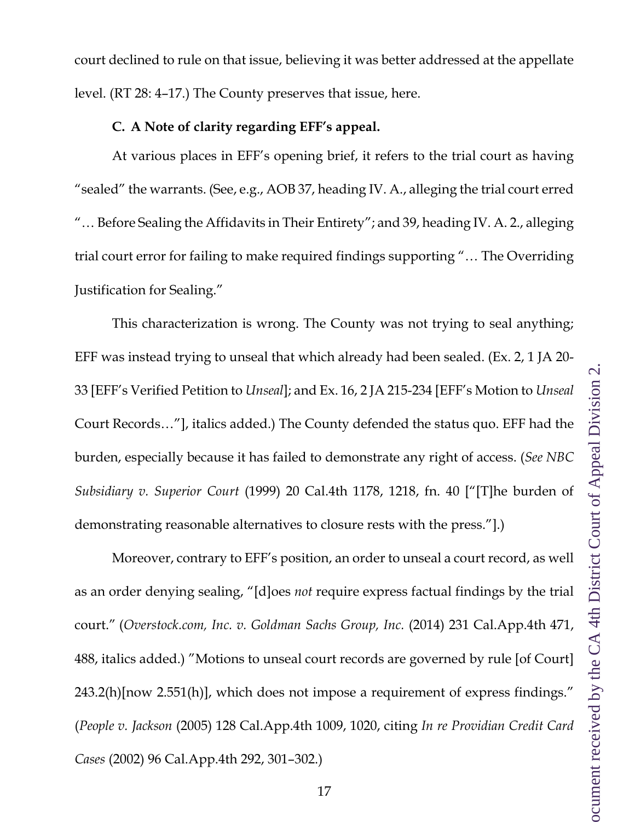court declined to rule on that issue, believing it was better addressed at the appellate level. (RT 28: 4–17.) The County preserves that issue, here.

#### **C. A Note of clarity regarding EFF's appeal.**

<span id="page-16-0"></span>At various places in EFF's opening brief, it refers to the trial court as having "sealed" the warrants. (See, e.g., AOB 37, heading IV. A., alleging the trial court erred "… Before Sealing the Affidavits in Their Entirety"; and 39, heading IV. A. 2., alleging trial court error for failing to make required findings supporting "… The Overriding Justification for Sealing."

This characterization is wrong. The County was not trying to seal anything; EFF was instead trying to unseal that which already had been sealed. (Ex. 2, 1 JA 20- 33 [EFF's Verified Petition to *Unseal*]; and Ex. 16, 2 JA 215-234 [EFF's Motion to *Unseal* Court Records…"], italics added.) The County defended the status quo. EFF had the burden, especially because it has failed to demonstrate any right of access. (*See NBC Subsidiary v. Superior Court* (1999) 20 Cal.4th 1178, 1218, fn. 40 ["[T]he burden of demonstrating reasonable alternatives to closure rests with the press."].)

Moreover, contrary to EFF's position, an order to unseal a court record, as well as an order denying sealing, "[d]oes *not* require express factual findings by the trial court." (*Overstock.com, Inc. v. Goldman Sachs Group, Inc.* (2014) 231 Cal.App.4th 471, 488, italics added.) "Motions to unseal court records are governed by rule [of Court] 243.2(h)[now 2.551(h)], which does not impose a requirement of express findings." (*People v. Jackson* (2005) 128 Cal.App.4th 1009, 1020, citing *In re Providian Credit Card Cases* (2002) 96 Cal.App.4th 292, 301–302.)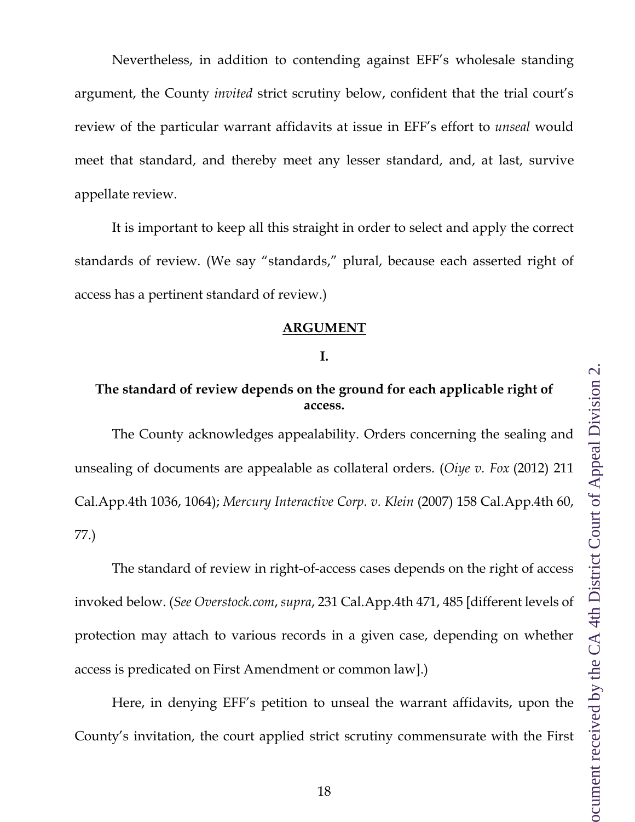Nevertheless, in addition to contending against EFF's wholesale standing argument, the County *invited* strict scrutiny below, confident that the trial court's review of the particular warrant affidavits at issue in EFF's effort to *unseal* would meet that standard, and thereby meet any lesser standard, and, at last, survive appellate review.

It is important to keep all this straight in order to select and apply the correct standards of review. (We say "standards," plural, because each asserted right of access has a pertinent standard of review.)

#### **ARGUMENT**

#### **I.**

# <span id="page-17-1"></span><span id="page-17-0"></span>**The standard of review depends on the ground for each applicable right of access.**

The County acknowledges appealability. Orders concerning the sealing and unsealing of documents are appealable as collateral orders. (*Oiye v. Fox* (2012) 211 Cal.App.4th 1036, 1064); *Mercury Interactive Corp. v. Klein* (2007) 158 Cal.App.4th 60, 77.)

The standard of review in right-of-access cases depends on the right of access invoked below. (*See Overstock.com*, *supra*, 231 Cal.App.4th 471, 485 [different levels of protection may attach to various records in a given case, depending on whether access is predicated on First Amendment or common law].)

Here, in denying EFF's petition to unseal the warrant affidavits, upon the County's invitation, the court applied strict scrutiny commensurate with the First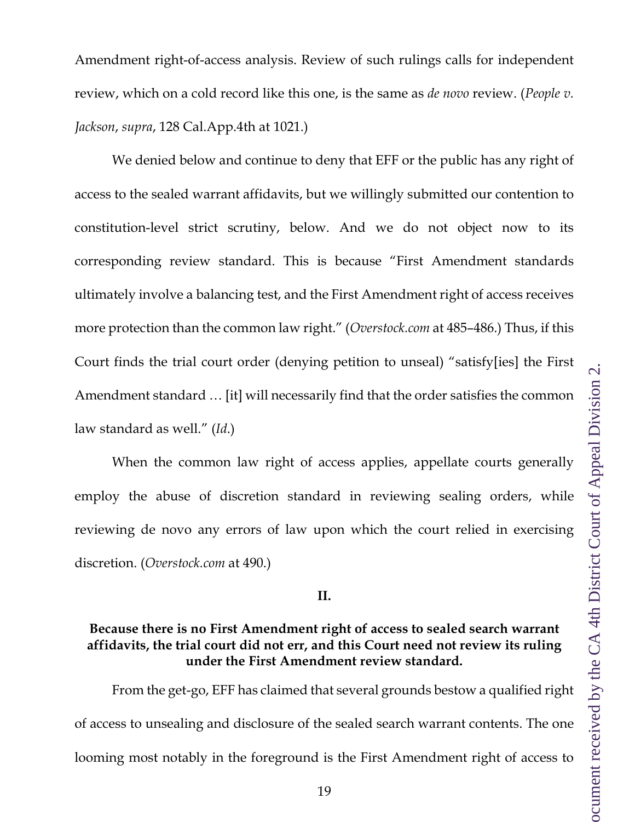Amendment right-of-access analysis. Review of such rulings calls for independent review, which on a cold record like this one, is the same as *de novo* review. (*People v. Jackson*, *supra*, 128 Cal.App.4th at 1021.)

We denied below and continue to deny that EFF or the public has any right of access to the sealed warrant affidavits, but we willingly submitted our contention to constitution-level strict scrutiny, below. And we do not object now to its corresponding review standard. This is because "First Amendment standards ultimately involve a balancing test, and the First Amendment right of access receives more protection than the common law right." (*Overstock.com* at 485–486.) Thus, if this Court finds the trial court order (denying petition to unseal) "satisfy[ies] the First Amendment standard … [it] will necessarily find that the order satisfies the common law standard as well." (*Id*.)

When the common law right of access applies, appellate courts generally employ the abuse of discretion standard in reviewing sealing orders, while reviewing de novo any errors of law upon which the court relied in exercising discretion. (*Overstock.com* at 490.)

**II.**

### <span id="page-18-0"></span>**Because there is no First Amendment right of access to sealed search warrant affidavits, the trial court did not err, and this Court need not review its ruling under the First Amendment review standard.**

From the get-go, EFF has claimed that several grounds bestow a qualified right of access to unsealing and disclosure of the sealed search warrant contents. The one looming most notably in the foreground is the First Amendment right of access to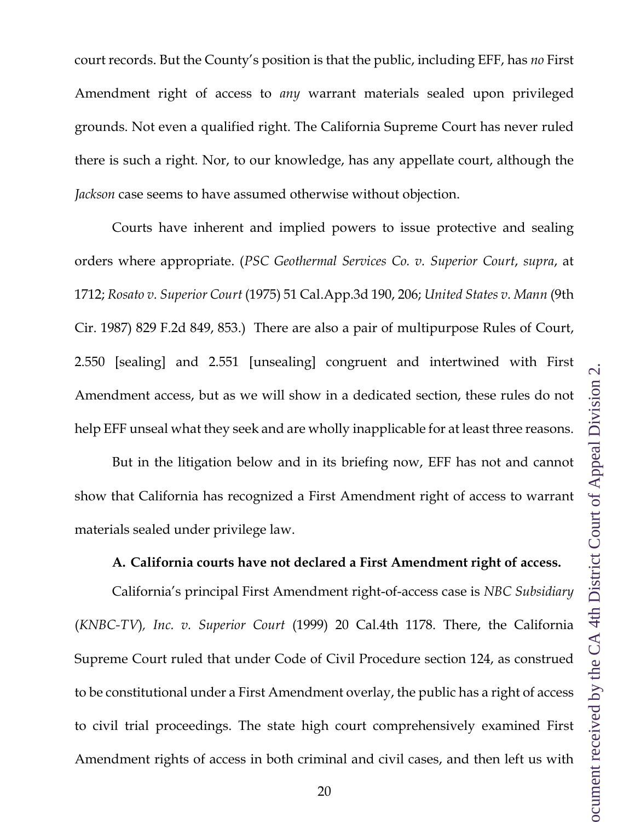court records. But the County's position is that the public, including EFF, has *no* First Amendment right of access to *any* warrant materials sealed upon privileged grounds. Not even a qualified right. The California Supreme Court has never ruled there is such a right. Nor, to our knowledge, has any appellate court, although the *Jackson* case seems to have assumed otherwise without objection.

Courts have inherent and implied powers to issue protective and sealing orders where appropriate. (*PSC Geothermal Services Co. v. Superior Court*, *supra*, at 1712; *Rosato v. Superior Court* (1975) 51 Cal.App.3d 190, 206; *United States v. Mann* (9th Cir. 1987) 829 F.2d 849, 853.) There are also a pair of multipurpose Rules of Court, 2.550 [sealing] and 2.551 [unsealing] congruent and intertwined with First Amendment access, but as we will show in a dedicated section, these rules do not help EFF unseal what they seek and are wholly inapplicable for at least three reasons.

But in the litigation below and in its briefing now, EFF has not and cannot show that California has recognized a First Amendment right of access to warrant materials sealed under privilege law.

#### **A. California courts have not declared a First Amendment right of access.**

<span id="page-19-0"></span>California's principal First Amendment right-of-access case is *NBC Subsidiary* (*KNBC-TV*)*, Inc. v. Superior Court* (1999) 20 Cal.4th 1178. There, the California Supreme Court ruled that under Code of Civil Procedure section 124, as construed to be constitutional under a First Amendment overlay, the public has a right of access to civil trial proceedings. The state high court comprehensively examined First Amendment rights of access in both criminal and civil cases, and then left us with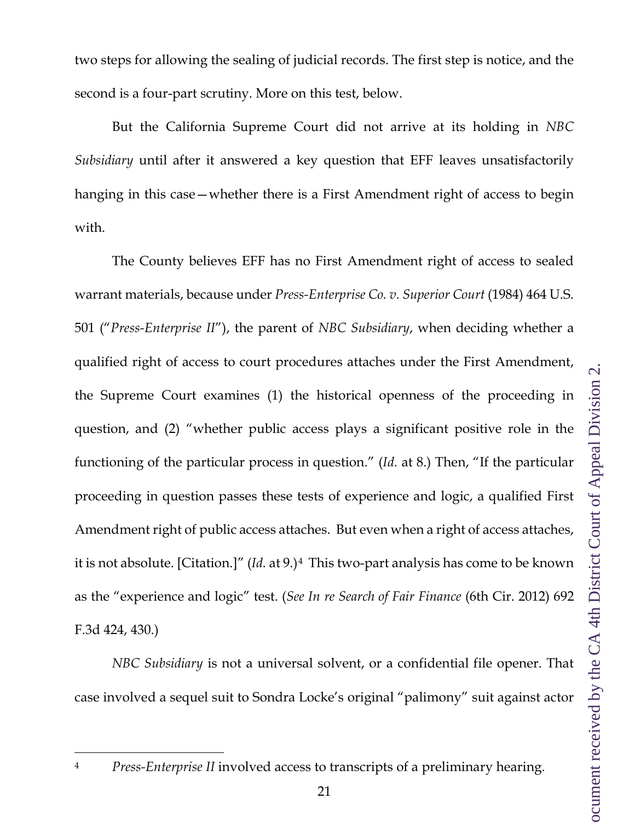two steps for allowing the sealing of judicial records. The first step is notice, and the second is a four-part scrutiny. More on this test, below.

But the California Supreme Court did not arrive at its holding in *NBC Subsidiary* until after it answered a key question that EFF leaves unsatisfactorily hanging in this case—whether there is a First Amendment right of access to begin with.

The County believes EFF has no First Amendment right of access to sealed warrant materials, because under *Press-Enterprise Co. v. Superior Court* (1984) 464 U.S. 501 ("*Press-Enterprise II*"), the parent of *NBC Subsidiary*, when deciding whether a qualified right of access to court procedures attaches under the First Amendment, the Supreme Court examines (1) the historical openness of the proceeding in question, and (2) "whether public access plays a significant positive role in the functioning of the particular process in question." (*Id.* at 8.) Then, "If the particular proceeding in question passes these tests of experience and logic, a qualified First Amendment right of public access attaches. But even when a right of access attaches, it is not absolute. [Citation.]" (*Id.* at 9.)[4](#page-20-0) This two-part analysis has come to be known as the "experience and logic" test. (*See In re Search of Fair Finance* (6th Cir. 2012) 692 F.3d 424, 430.)

*NBC Subsidiary* is not a universal solvent, or a confidential file opener. That case involved a sequel suit to Sondra Locke's original "palimony" suit against actor

<span id="page-20-0"></span><sup>4</sup> *Press-Enterprise II* involved access to transcripts of a preliminary hearing.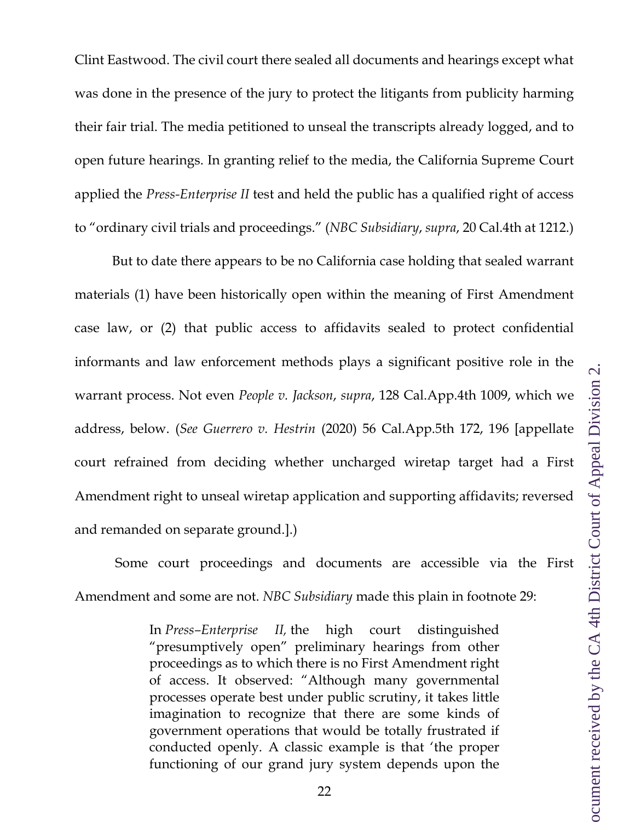Clint Eastwood. The civil court there sealed all documents and hearings except what was done in the presence of the jury to protect the litigants from publicity harming their fair trial. The media petitioned to unseal the transcripts already logged, and to open future hearings. In granting relief to the media, the California Supreme Court applied the *Press-Enterprise II* test and held the public has a qualified right of access to "ordinary civil trials and proceedings." (*NBC Subsidiary*, *supra*, 20 Cal.4th at 1212.)

But to date there appears to be no California case holding that sealed warrant materials (1) have been historically open within the meaning of First Amendment case law, or (2) that public access to affidavits sealed to protect confidential informants and law enforcement methods plays a significant positive role in the warrant process. Not even *People v. Jackson*, *supra*, 128 Cal.App.4th 1009, which we address, below. (*See Guerrero v. Hestrin* (2020) 56 Cal.App.5th 172, 196 [appellate court refrained from deciding whether uncharged wiretap target had a First Amendment right to unseal wiretap application and supporting affidavits; reversed and remanded on separate ground.].)

Some court proceedings and documents are accessible via the First Amendment and some are not. *NBC Subsidiary* made this plain in footnote 29:

> In *Press–Enterprise II,* the high court distinguished "presumptively open" preliminary hearings from other proceedings as to which there is no First Amendment right of access. It observed: "Although many governmental processes operate best under public scrutiny, it takes little imagination to recognize that there are some kinds of government operations that would be totally frustrated if conducted openly. A classic example is that 'the proper functioning of our grand jury system depends upon the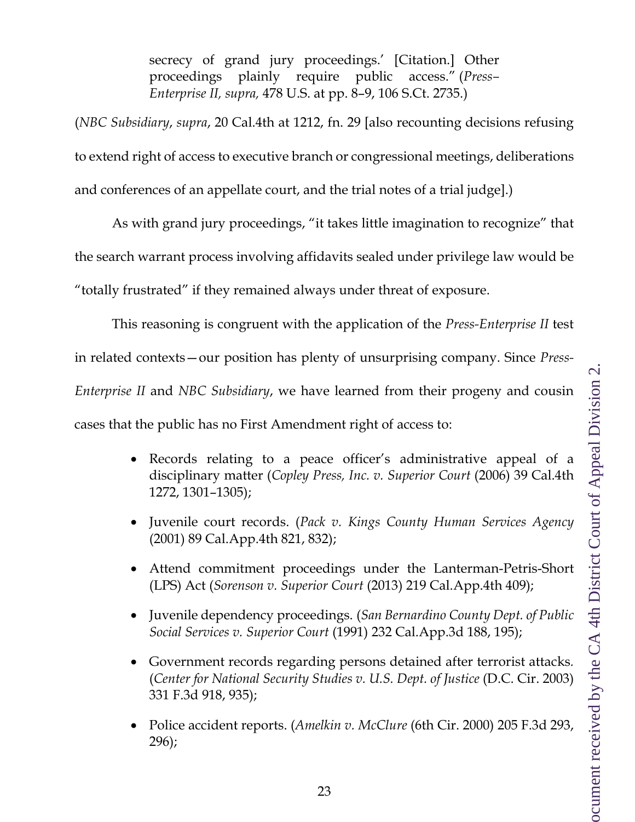secrecy of grand jury proceedings.' [Citation.] Other proceedings plainly require public access." (*Press– Enterprise II, supra,* 478 U.S. at pp. 8–9, 106 S.Ct. 2735.)

(*NBC Subsidiary*, *supra*, 20 Cal.4th at 1212, fn. 29 [also recounting decisions refusing to extend right of access to executive branch or congressional meetings, deliberations and conferences of an appellate court, and the trial notes of a trial judge].)

As with grand jury proceedings, "it takes little imagination to recognize" that the search warrant process involving affidavits sealed under privilege law would be

"totally frustrated" if they remained always under threat of exposure.

This reasoning is congruent with the application of the *Press-Enterprise II* test

in related contexts—our position has plenty of unsurprising company. Since *Press-*

*Enterprise II* and *NBC Subsidiary*, we have learned from their progeny and cousin

cases that the public has no First Amendment right of access to:

- Records relating to a peace officer's administrative appeal of a disciplinary matter (*Copley Press, Inc. v. Superior Court* (2006) 39 Cal.4th 1272, 1301–1305);
- Juvenile court records. (*Pack v. Kings County Human Services Agency* (2001) 89 Cal.App.4th 821, 832);
- Attend commitment proceedings under the Lanterman-Petris-Short (LPS) Act (*Sorenson v. Superior Court* (2013) 219 Cal.App.4th 409);
- Juvenile dependency proceedings. (*San Bernardino County Dept. of Public Social Services v. Superior Court* (1991) 232 Cal.App.3d 188, 195);
- Government records regarding persons detained after terrorist attacks*.*  (*Center for National Security Studies v. U.S. Dept. of Justice* (D.C. Cir. 2003) 331 F.3d 918, 935);
- Police accident reports. (*Amelkin v. McClure* (6th Cir. 2000) 205 F.3d 293, 296);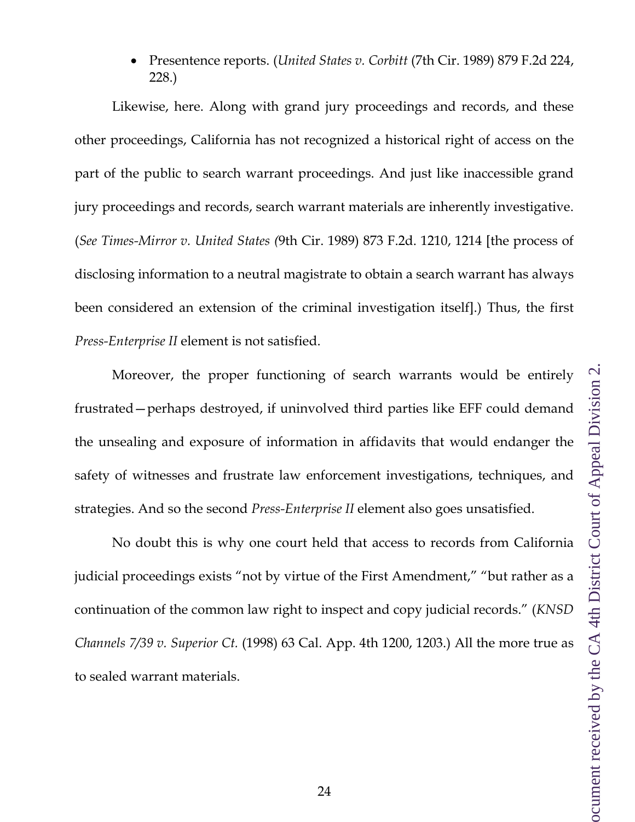• Presentence reports. (*United States v. Corbitt* (7th Cir. 1989) 879 F.2d 224, 228.)

Likewise, here. Along with grand jury proceedings and records, and these other proceedings, California has not recognized a historical right of access on the part of the public to search warrant proceedings. And just like inaccessible grand jury proceedings and records, search warrant materials are inherently investigative. (*See Times-Mirror v. United States (*9th Cir. 1989) 873 F.2d. 1210, 1214 [the process of disclosing information to a neutral magistrate to obtain a search warrant has always been considered an extension of the criminal investigation itself].) Thus, the first *Press-Enterprise II* element is not satisfied.

Moreover, the proper functioning of search warrants would be entirely frustrated—perhaps destroyed, if uninvolved third parties like EFF could demand the unsealing and exposure of information in affidavits that would endanger the safety of witnesses and frustrate law enforcement investigations, techniques, and strategies. And so the second *Press-Enterprise II* element also goes unsatisfied.

No doubt this is why one court held that access to records from California judicial proceedings exists "not by virtue of the First Amendment," "but rather as a continuation of the common law right to inspect and copy judicial records." (*KNSD Channels 7/39 v. Superior Ct.* (1998) 63 Cal. App. 4th 1200, 1203.) All the more true as to sealed warrant materials.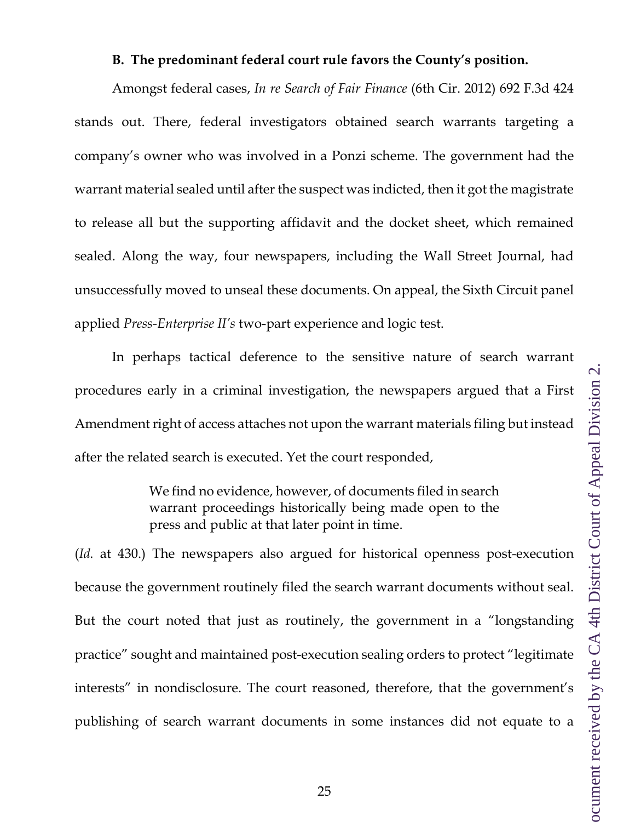#### **B. The predominant federal court rule favors the County's position.**

<span id="page-24-0"></span>Amongst federal cases, *In re Search of Fair Finance* (6th Cir. 2012) 692 F.3d 424 stands out. There, federal investigators obtained search warrants targeting a company's owner who was involved in a Ponzi scheme. The government had the warrant material sealed until after the suspect was indicted, then it got the magistrate to release all but the supporting affidavit and the docket sheet, which remained sealed. Along the way, four newspapers, including the Wall Street Journal, had unsuccessfully moved to unseal these documents. On appeal, the Sixth Circuit panel applied *Press-Enterprise II's* two-part experience and logic test.

In perhaps tactical deference to the sensitive nature of search warrant procedures early in a criminal investigation, the newspapers argued that a First Amendment right of access attaches not upon the warrant materials filing but instead after the related search is executed. Yet the court responded,

> We find no evidence, however, of documents filed in search warrant proceedings historically being made open to the press and public at that later point in time.

(*Id.* at 430.) The newspapers also argued for historical openness post-execution because the government routinely filed the search warrant documents without seal. But the court noted that just as routinely, the government in a "longstanding practice" sought and maintained post-execution sealing orders to protect "legitimate interests" in nondisclosure. The court reasoned, therefore, that the government's publishing of search warrant documents in some instances did not equate to a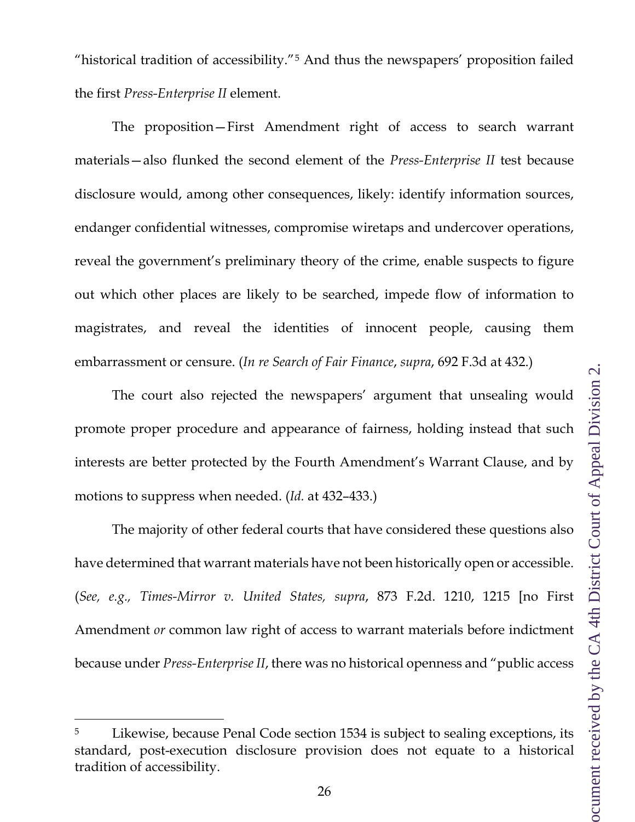"historical tradition of accessibility."[5](#page-25-0) And thus the newspapers' proposition failed the first *Press-Enterprise II* element.

The proposition—First Amendment right of access to search warrant materials—also flunked the second element of the *Press-Enterprise II* test because disclosure would, among other consequences, likely: identify information sources, endanger confidential witnesses, compromise wiretaps and undercover operations, reveal the government's preliminary theory of the crime, enable suspects to figure out which other places are likely to be searched, impede flow of information to magistrates, and reveal the identities of innocent people, causing them embarrassment or censure. (*In re Search of Fair Finance*, *supra*, 692 F.3d at 432.)

The court also rejected the newspapers' argument that unsealing would promote proper procedure and appearance of fairness, holding instead that such interests are better protected by the Fourth Amendment's Warrant Clause, and by motions to suppress when needed. (*Id.* at 432–433.)

The majority of other federal courts that have considered these questions also have determined that warrant materials have not been historically open or accessible. (*See, e.g., Times-Mirror v. United States, supra*, 873 F.2d. 1210, 1215 [no First Amendment *or* common law right of access to warrant materials before indictment because under *Press-Enterprise II*, there was no historical openness and "public access

<span id="page-25-0"></span>Likewise, because Penal Code section 1534 is subject to sealing exceptions, its standard, post-execution disclosure provision does not equate to a historical tradition of accessibility.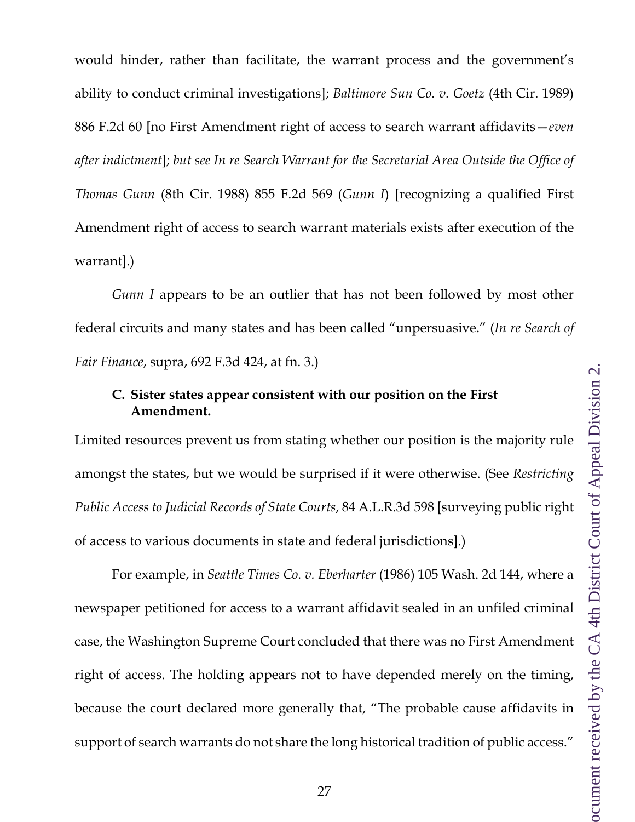would hinder, rather than facilitate, the warrant process and the government's ability to conduct criminal investigations]; *Baltimore Sun Co. v. Goetz* (4th Cir. 1989) 886 F.2d 60 [no First Amendment right of access to search warrant affidavits—*even after indictment*]; *but see In re Search Warrant for the Secretarial Area Outside the Office of Thomas Gunn* (8th Cir. 1988) 855 F.2d 569 (*Gunn I*) [recognizing a qualified First Amendment right of access to search warrant materials exists after execution of the warrant].)

*Gunn I* appears to be an outlier that has not been followed by most other federal circuits and many states and has been called "unpersuasive." (*In re Search of Fair Finance*, supra, 692 F.3d 424, at fn. 3.)

# <span id="page-26-0"></span>**C. Sister states appear consistent with our position on the First Amendment.**

Limited resources prevent us from stating whether our position is the majority rule amongst the states, but we would be surprised if it were otherwise. (See *Restricting Public Access to Judicial Records of State Courts*, 84 A.L.R.3d 598 [surveying public right of access to various documents in state and federal jurisdictions].)

For example, in *Seattle Times Co. v. Eberharter* (1986) 105 Wash. 2d 144, where a newspaper petitioned for access to a warrant affidavit sealed in an unfiled criminal case, the Washington Supreme Court concluded that there was no First Amendment right of access. The holding appears not to have depended merely on the timing, because the court declared more generally that, "The probable cause affidavits in support of search warrants do not share the long historical tradition of public access."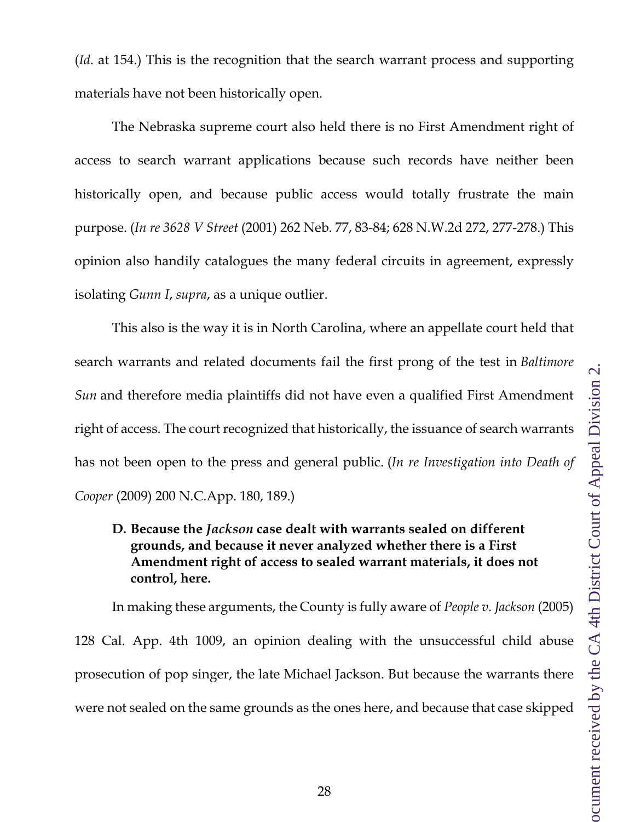(*Id*. at 154.) This is the recognition that the search warrant process and supporting materials have not been historically open.

The Nebraska supreme court also held there is no First Amendment right of access to search warrant applications because such records have neither been historically open, and because public access would totally frustrate the main purpose. (*In re 3628 V Street* (2001) 262 Neb. 77, 83-84; 628 N.W.2d 272, 277-278.) This opinion also handily catalogues the many federal circuits in agreement, expressly isolating *Gunn I*, *supra*, as a unique outlier.

This also is the way it is in North Carolina, where an appellate court held that search warrants and related documents fail the first prong of the test in *Baltimore Sun* and therefore media plaintiffs did not have even a qualified First Amendment right of access. The court recognized that historically, the issuance of search warrants has not been open to the press and general public. (*In re Investigation into Death of Cooper* (2009) 200 N.C.App. 180, 189.)

### <span id="page-27-0"></span>**D. Because the** *Jackson* **case dealt with warrants sealed on different grounds, and because it never analyzed whether there is a First Amendment right of access to sealed warrant materials, it does not control, here.**

In making these arguments, the County is fully aware of *People v. Jackson* (2005) 128 Cal. App. 4th 1009, an opinion dealing with the unsuccessful child abuse prosecution of pop singer, the late Michael Jackson. But because the warrants there were not sealed on the same grounds as the ones here, and because that case skipped

28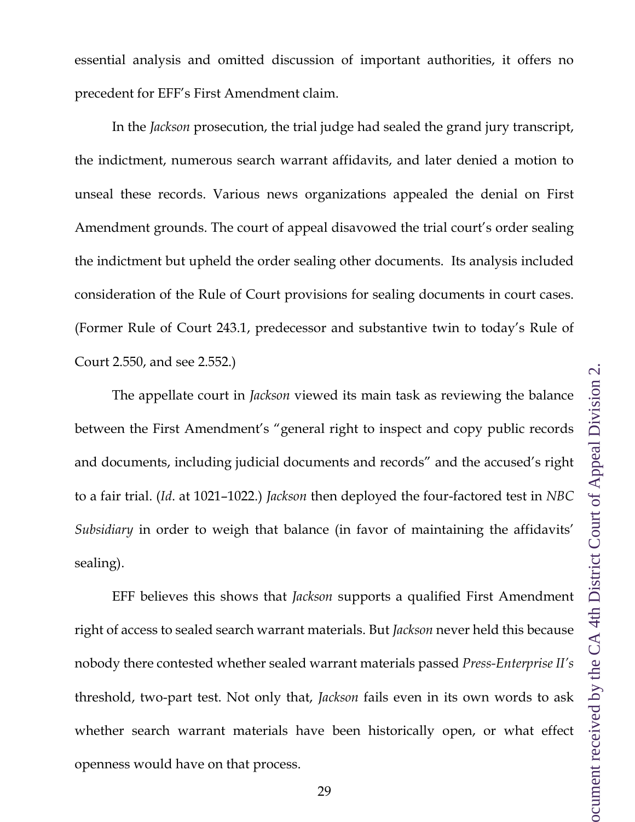essential analysis and omitted discussion of important authorities, it offers no precedent for EFF's First Amendment claim.

In the *Jackson* prosecution, the trial judge had sealed the grand jury transcript, the indictment, numerous search warrant affidavits, and later denied a motion to unseal these records. Various news organizations appealed the denial on First Amendment grounds. The court of appeal disavowed the trial court's order sealing the indictment but upheld the order sealing other documents. Its analysis included consideration of the Rule of Court provisions for sealing documents in court cases. (Former Rule of Court 243.1, predecessor and substantive twin to today's Rule of Court 2.550, and see 2.552.)

The appellate court in *Jackson* viewed its main task as reviewing the balance between the First Amendment's "general right to inspect and copy public records and documents, including judicial documents and records" and the accused's right to a fair trial. (*Id*. at 1021–1022.) *Jackson* then deployed the four-factored test in *NBC Subsidiary* in order to weigh that balance (in favor of maintaining the affidavits' sealing).

EFF believes this shows that *Jackson* supports a qualified First Amendment right of access to sealed search warrant materials. But *Jackson* never held this because nobody there contested whether sealed warrant materials passed *Press-Enterprise II's* threshold, two-part test. Not only that, *Jackson* fails even in its own words to ask whether search warrant materials have been historically open, or what effect openness would have on that process.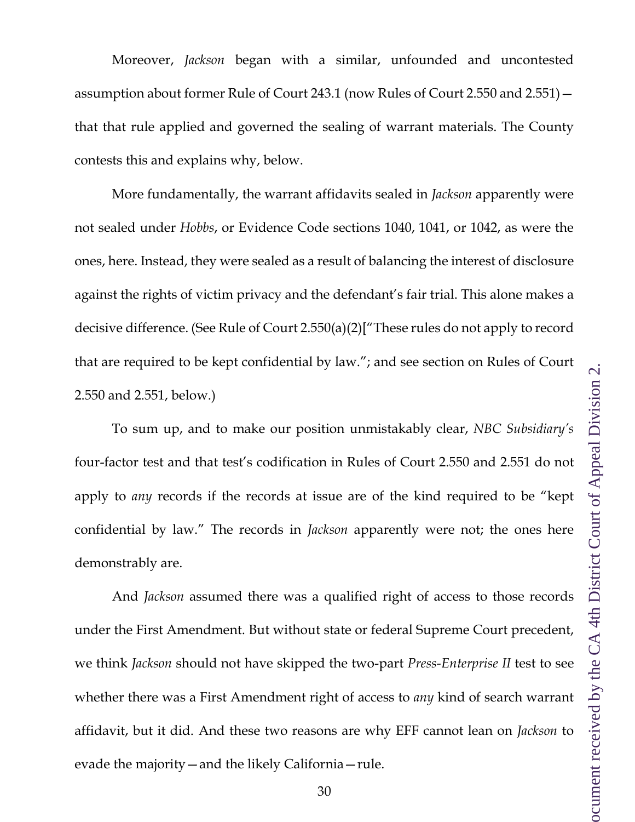Moreover, *Jackson* began with a similar, unfounded and uncontested assumption about former Rule of Court 243.1 (now Rules of Court 2.550 and 2.551) that that rule applied and governed the sealing of warrant materials. The County contests this and explains why, below.

More fundamentally, the warrant affidavits sealed in *Jackson* apparently were not sealed under *Hobbs*, or Evidence Code sections 1040, 1041, or 1042, as were the ones, here. Instead, they were sealed as a result of balancing the interest of disclosure against the rights of victim privacy and the defendant's fair trial. This alone makes a decisive difference. (See Rule of Court 2.550(a)(2)["These rules do not apply to record that are required to be kept confidential by law."; and see section on Rules of Court 2.550 and 2.551, below.)

To sum up, and to make our position unmistakably clear, *NBC Subsidiary's*  four-factor test and that test's codification in Rules of Court 2.550 and 2.551 do not apply to *any* records if the records at issue are of the kind required to be "kept confidential by law." The records in *Jackson* apparently were not; the ones here demonstrably are.

And *Jackson* assumed there was a qualified right of access to those records under the First Amendment. But without state or federal Supreme Court precedent, we think *Jackson* should not have skipped the two-part *Press-Enterprise II* test to see whether there was a First Amendment right of access to *any* kind of search warrant affidavit, but it did. And these two reasons are why EFF cannot lean on *Jackson* to evade the majority—and the likely California—rule.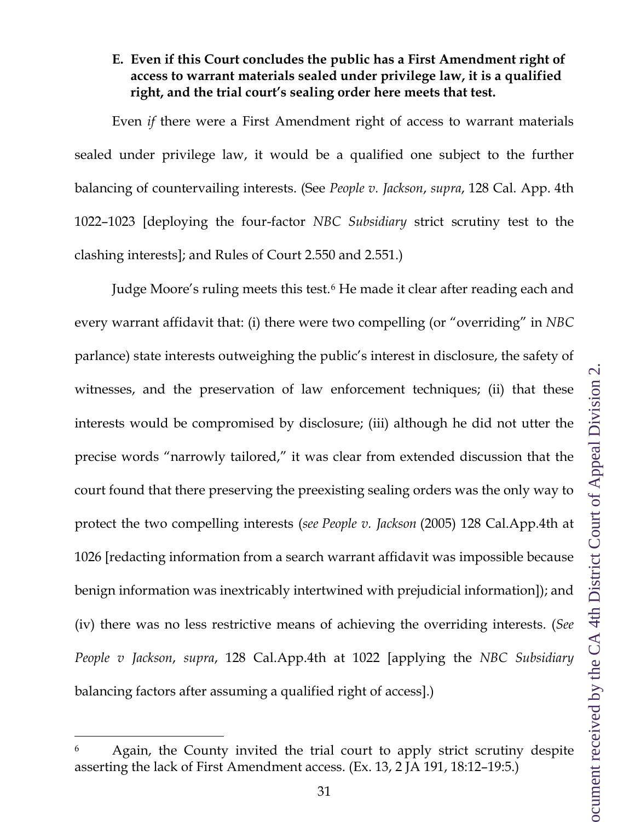### <span id="page-30-0"></span>**E. Even if this Court concludes the public has a First Amendment right of access to warrant materials sealed under privilege law, it is a qualified right, and the trial court's sealing order here meets that test.**

Even *if* there were a First Amendment right of access to warrant materials sealed under privilege law, it would be a qualified one subject to the further balancing of countervailing interests. (See *People v. Jackson*, *supra*, 128 Cal. App. 4th 1022–1023 [deploying the four-factor *NBC Subsidiary* strict scrutiny test to the clashing interests]; and Rules of Court 2.550 and 2.551.)

Judge Moore's ruling meets this test.[6](#page-30-1) He made it clear after reading each and every warrant affidavit that: (i) there were two compelling (or "overriding" in *NBC* parlance) state interests outweighing the public's interest in disclosure, the safety of witnesses, and the preservation of law enforcement techniques; (ii) that these interests would be compromised by disclosure; (iii) although he did not utter the precise words "narrowly tailored," it was clear from extended discussion that the court found that there preserving the preexisting sealing orders was the only way to protect the two compelling interests (*see People v. Jackson* (2005) 128 Cal.App.4th at 1026 [redacting information from a search warrant affidavit was impossible because benign information was inextricably intertwined with prejudicial information]); and (iv) there was no less restrictive means of achieving the overriding interests. (*See People v Jackson*, *supra*, 128 Cal.App.4th at 1022 [applying the *NBC Subsidiary* balancing factors after assuming a qualified right of access].)

<span id="page-30-1"></span><sup>6</sup> Again, the County invited the trial court to apply strict scrutiny despite asserting the lack of First Amendment access. (Ex. 13, 2 JA 191, 18:12–19:5.)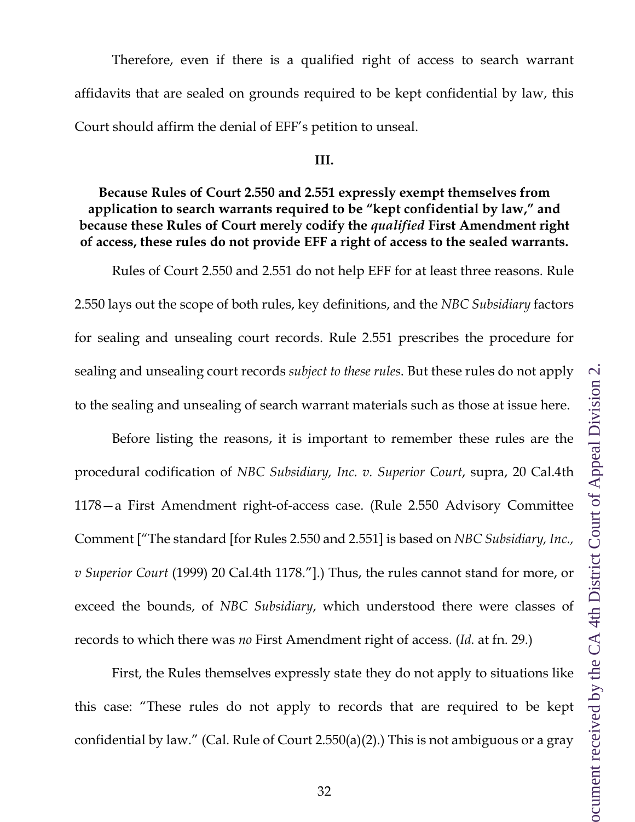Therefore, even if there is a qualified right of access to search warrant affidavits that are sealed on grounds required to be kept confidential by law, this Court should affirm the denial of EFF's petition to unseal.

#### **III.**

## <span id="page-31-0"></span>**Because Rules of Court 2.550 and 2.551 expressly exempt themselves from application to search warrants required to be "kept confidential by law," and because these Rules of Court merely codify the** *qualified* **First Amendment right of access, these rules do not provide EFF a right of access to the sealed warrants.**

Rules of Court 2.550 and 2.551 do not help EFF for at least three reasons. Rule 2.550 lays out the scope of both rules, key definitions, and the *NBC Subsidiary* factors for sealing and unsealing court records. Rule 2.551 prescribes the procedure for sealing and unsealing court records *subject to these rules*. But these rules do not apply to the sealing and unsealing of search warrant materials such as those at issue here.

Before listing the reasons, it is important to remember these rules are the procedural codification of *NBC Subsidiary, Inc. v. Superior Court*, supra, 20 Cal.4th 1178—a First Amendment right-of-access case. (Rule 2.550 Advisory Committee Comment ["The standard [for Rules 2.550 and 2.551] is based on *NBC Subsidiary, Inc., v Superior Court* (1999) 20 Cal.4th 1178."].) Thus, the rules cannot stand for more, or exceed the bounds, of *NBC Subsidiary*, which understood there were classes of records to which there was *no* First Amendment right of access. (*Id.* at fn. 29.)

First, the Rules themselves expressly state they do not apply to situations like this case: "These rules do not apply to records that are required to be kept confidential by law." (Cal. Rule of Court 2.550(a)(2).) This is not ambiguous or a gray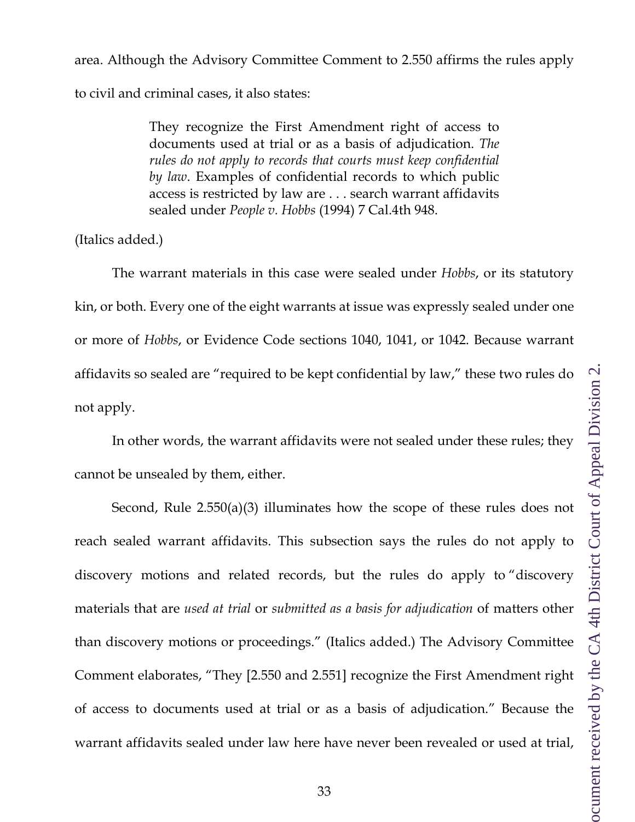area. Although the Advisory Committee Comment to 2.550 affirms the rules apply to civil and criminal cases, it also states:

> They recognize the First Amendment right of access to documents used at trial or as a basis of adjudication. *The*  rules do not apply to records that courts must keep confidential *by law*. Examples of confidential records to which public access is restricted by law are . . . search warrant affidavits sealed under *People v. Hobbs* (1994) 7 Cal.4th 948.

(Italics added.)

The warrant materials in this case were sealed under *Hobbs*, or its statutory kin, or both. Every one of the eight warrants at issue was expressly sealed under one or more of *Hobbs*, or Evidence Code sections 1040, 1041, or 1042. Because warrant affidavits so sealed are "required to be kept confidential by law," these two rules do not apply.

In other words, the warrant affidavits were not sealed under these rules; they cannot be unsealed by them, either.

Second, Rule 2.550(a)(3) illuminates how the scope of these rules does not reach sealed warrant affidavits. This subsection says the rules do not apply to discovery motions and related records, but the rules do apply to "discovery materials that are *used at trial* or *submitted as a basis for adjudication* of matters other than discovery motions or proceedings." (Italics added.) The Advisory Committee Comment elaborates, "They [2.550 and 2.551] recognize the First Amendment right of access to documents used at trial or as a basis of adjudication." Because the warrant affidavits sealed under law here have never been revealed or used at trial,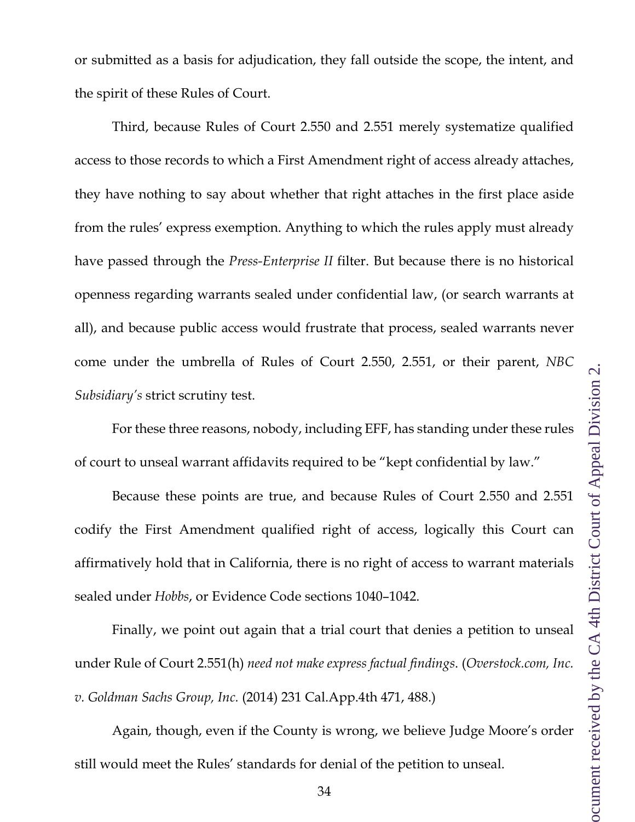or submitted as a basis for adjudication, they fall outside the scope, the intent, and the spirit of these Rules of Court.

Third, because Rules of Court 2.550 and 2.551 merely systematize qualified access to those records to which a First Amendment right of access already attaches, they have nothing to say about whether that right attaches in the first place aside from the rules' express exemption. Anything to which the rules apply must already have passed through the *Press-Enterprise II* filter. But because there is no historical openness regarding warrants sealed under confidential law, (or search warrants at all), and because public access would frustrate that process, sealed warrants never come under the umbrella of Rules of Court 2.550, 2.551, or their parent, *NBC Subsidiary's* strict scrutiny test.

For these three reasons, nobody, including EFF, has standing under these rules of court to unseal warrant affidavits required to be "kept confidential by law."

Because these points are true, and because Rules of Court 2.550 and 2.551 codify the First Amendment qualified right of access, logically this Court can affirmatively hold that in California, there is no right of access to warrant materials sealed under *Hobbs*, or Evidence Code sections 1040–1042.

Finally, we point out again that a trial court that denies a petition to unseal under Rule of Court 2.551(h) *need not make express factual findings*. (*Overstock.com, Inc. v. Goldman Sachs Group, Inc.* (2014) 231 Cal.App.4th 471, 488.)

Again, though, even if the County is wrong, we believe Judge Moore's order still would meet the Rules' standards for denial of the petition to unseal.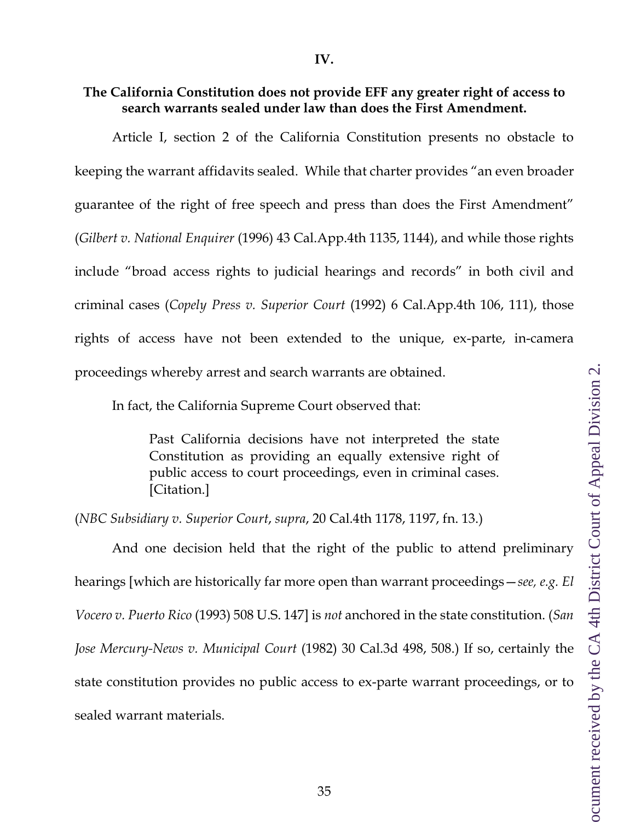### <span id="page-34-0"></span>**The California Constitution does not provide EFF any greater right of access to search warrants sealed under law than does the First Amendment.**

Article I, section 2 of the California Constitution presents no obstacle to keeping the warrant affidavits sealed. While that charter provides "an even broader guarantee of the right of free speech and press than does the First Amendment" (*Gilbert v. National Enquirer* (1996) 43 Cal.App.4th 1135, 1144), and while those rights include "broad access rights to judicial hearings and records" in both civil and criminal cases (*Copely Press v. Superior Court* (1992) 6 Cal.App.4th 106, 111), those rights of access have not been extended to the unique, ex-parte, in-camera proceedings whereby arrest and search warrants are obtained.

In fact, the California Supreme Court observed that:

Past California decisions have not interpreted the state Constitution as providing an equally extensive right of public access to court proceedings, even in criminal cases. [Citation.]

(*NBC Subsidiary v. Superior Court*, *supra*, 20 Cal.4th 1178, 1197, fn. 13.)

And one decision held that the right of the public to attend preliminary hearings [which are historically far more open than warrant proceedings—*see, e.g. El Vocero v. Puerto Rico* (1993) 508 U.S. 147] is *not* anchored in the state constitution. (*San Jose Mercury-News v. Municipal Court* (1982) 30 Cal.3d 498, 508.) If so, certainly the state constitution provides no public access to ex-parte warrant proceedings, or to sealed warrant materials.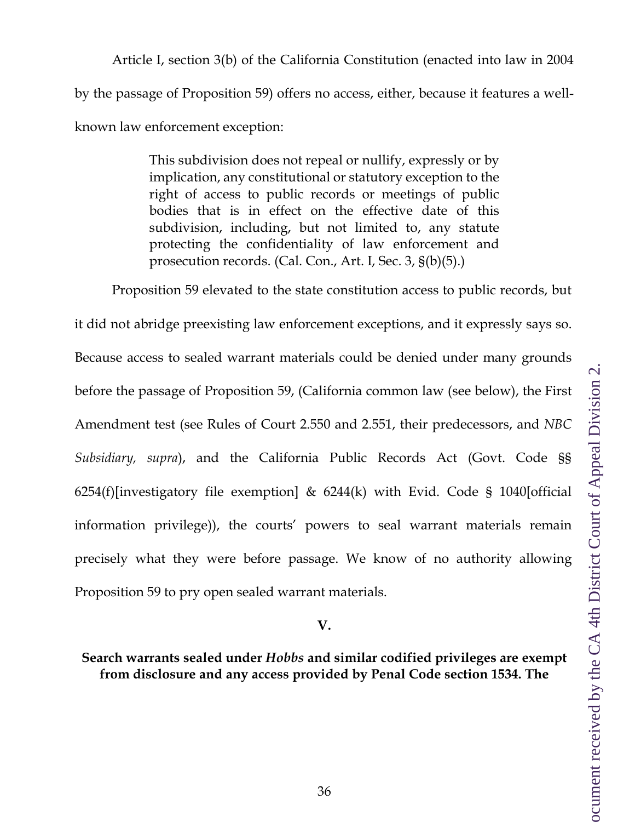Article I, section 3(b) of the California Constitution (enacted into law in 2004 by the passage of Proposition 59) offers no access, either, because it features a wellknown law enforcement exception:

> This subdivision does not repeal or nullify, expressly or by implication, any constitutional or statutory exception to the right of access to public records or meetings of public bodies that is in effect on the effective date of this subdivision, including, but not limited to, any statute protecting the confidentiality of law enforcement and prosecution records. (Cal. Con., Art. I, Sec. 3, §(b)(5).)

Proposition 59 elevated to the state constitution access to public records, but it did not abridge preexisting law enforcement exceptions, and it expressly says so. Because access to sealed warrant materials could be denied under many grounds before the passage of Proposition 59, (California common law (see below), the First Amendment test (see Rules of Court 2.550 and 2.551, their predecessors, and *NBC Subsidiary, supra*), and the California Public Records Act (Govt. Code §§ 6254(f)[investigatory file exemption]  $\&$  6244(k) with Evid. Code § 1040[official information privilege)), the courts' powers to seal warrant materials remain precisely what they were before passage. We know of no authority allowing Proposition 59 to pry open sealed warrant materials.

#### **V.**

### <span id="page-35-0"></span>**Search warrants sealed under** *Hobbs* **and similar codified privileges are exempt from disclosure and any access provided by Penal Code section 1534. The**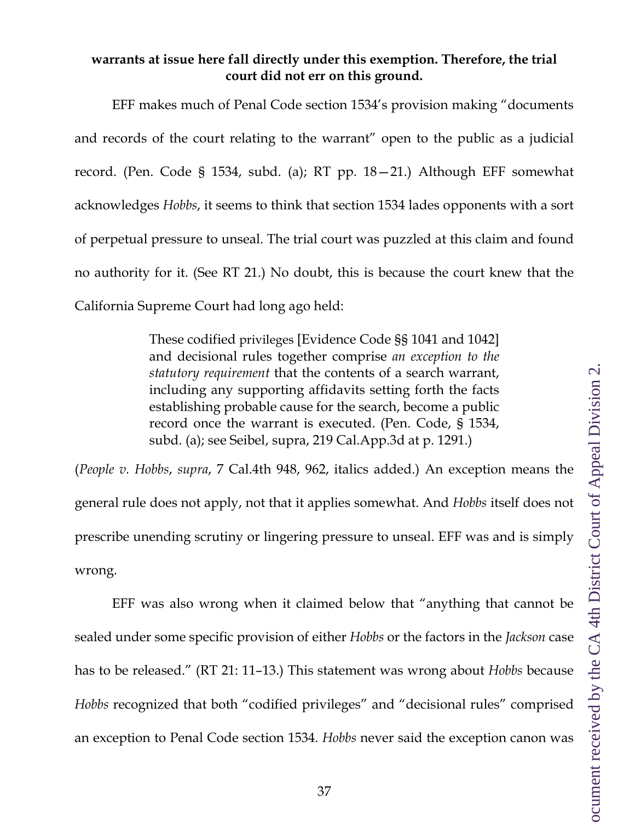### **warrants at issue here fall directly under this exemption. Therefore, the trial court did not err on this ground.**

EFF makes much of Penal Code section 1534's provision making "documents and records of the court relating to the warrant" open to the public as a judicial record. (Pen. Code § 1534, subd. (a); RT pp. 18—21.) Although EFF somewhat acknowledges *Hobbs*, it seems to think that section 1534 lades opponents with a sort of perpetual pressure to unseal. The trial court was puzzled at this claim and found no authority for it. (See RT 21.) No doubt, this is because the court knew that the California Supreme Court had long ago held:

> These codified privileges [Evidence Code §§ 1041 and 1042] and decisional rules together comprise *an exception to the statutory requirement* that the contents of a search warrant, including any supporting affidavits setting forth the facts establishing probable cause for the search, become a public record once the warrant is executed. (Pen. Code, § 1534, subd. (a); see Seibel, supra, 219 Cal.App.3d at p. 1291.)

(*People v. Hobbs*, *supra*, 7 Cal.4th 948, 962, italics added.) An exception means the general rule does not apply, not that it applies somewhat. And *Hobbs* itself does not prescribe unending scrutiny or lingering pressure to unseal. EFF was and is simply wrong.

EFF was also wrong when it claimed below that "anything that cannot be sealed under some specific provision of either *Hobbs* or the factors in the *Jackson* case has to be released." (RT 21: 11–13.) This statement was wrong about *Hobbs* because *Hobbs* recognized that both "codified privileges" and "decisional rules" comprised an exception to Penal Code section 1534. *Hobbs* never said the exception canon was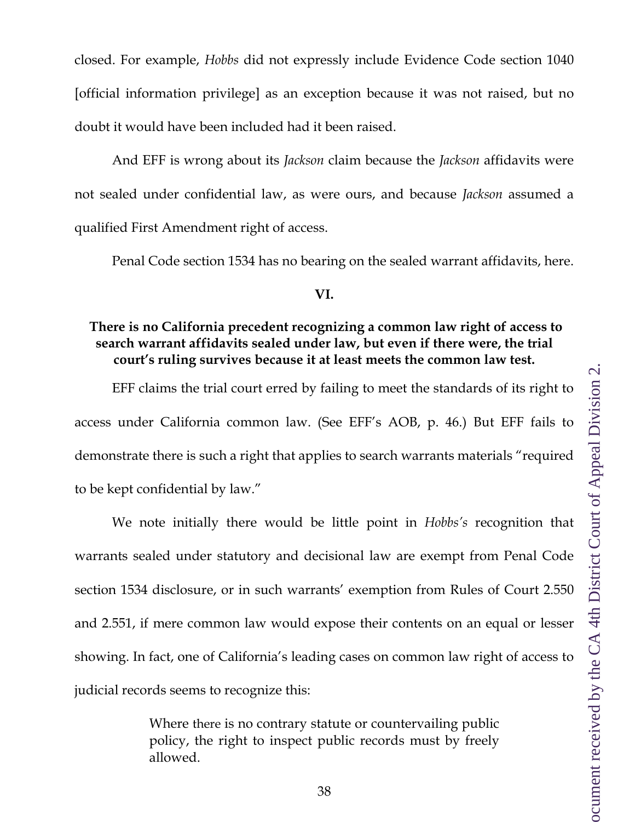closed. For example, *Hobbs* did not expressly include Evidence Code section 1040 [official information privilege] as an exception because it was not raised, but no doubt it would have been included had it been raised.

And EFF is wrong about its *Jackson* claim because the *Jackson* affidavits were not sealed under confidential law, as were ours, and because *Jackson* assumed a qualified First Amendment right of access.

Penal Code section 1534 has no bearing on the sealed warrant affidavits, here.

#### **VI.**

## <span id="page-37-0"></span>**There is no California precedent recognizing a common law right of access to search warrant affidavits sealed under law, but even if there were, the trial court's ruling survives because it at least meets the common law test.**

EFF claims the trial court erred by failing to meet the standards of its right to access under California common law. (See EFF's AOB, p. 46.) But EFF fails to demonstrate there is such a right that applies to search warrants materials "required to be kept confidential by law."

We note initially there would be little point in *Hobbs's* recognition that warrants sealed under statutory and decisional law are exempt from Penal Code section 1534 disclosure, or in such warrants' exemption from Rules of Court 2.550 and 2.551, if mere common law would expose their contents on an equal or lesser showing. In fact, one of California's leading cases on common law right of access to judicial records seems to recognize this:

> Where there is no contrary statute or countervailing public policy, the right to inspect public records must by freely allowed.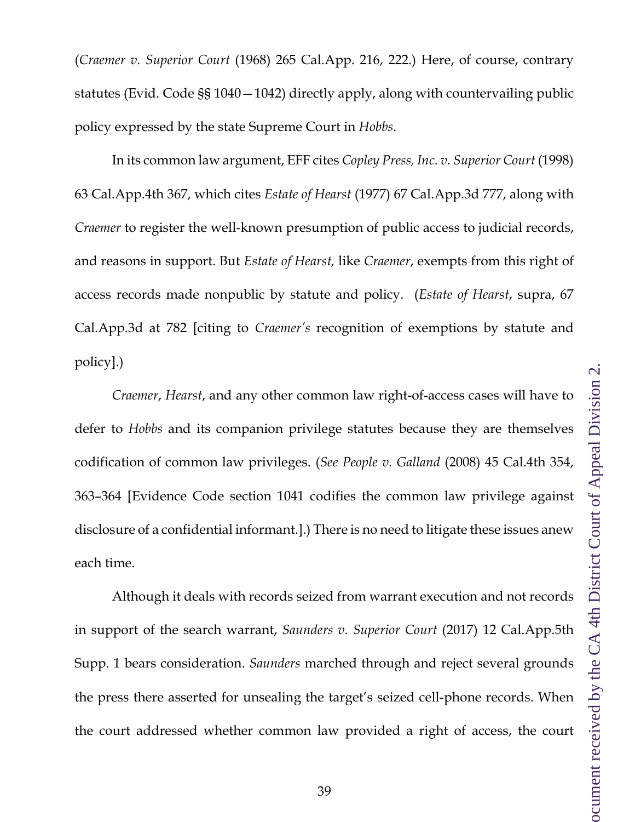(*Craemer v. Superior Court* (1968) 265 Cal.App. 216, 222.) Here, of course, contrary statutes (Evid. Code §§ 1040—1042) directly apply, along with countervailing public policy expressed by the state Supreme Court in *Hobbs*.

In its common law argument, EFF cites *Copley Press, Inc. v. Superior Court* (1998) 63 Cal.App.4th 367, which cites *Estate of Hearst* (1977) 67 Cal.App.3d 777, along with *Craemer* to register the well-known presumption of public access to judicial records, and reasons in support. But *Estate of Hearst,* like *Craemer*, exempts from this right of access records made nonpublic by statute and policy. (*Estate of Hearst*, supra, 67 Cal.App.3d at 782 [citing to *Craemer's* recognition of exemptions by statute and policy].)

*Craemer*, *Hearst*, and any other common law right-of-access cases will have to defer to *Hobbs* and its companion privilege statutes because they are themselves codification of common law privileges. (*See People v. Galland* (2008) 45 Cal.4th 354, 363–364 [Evidence Code section 1041 codifies the common law privilege against disclosure of a confidential informant.].) There is no need to litigate these issues anew each time.

Although it deals with records seized from warrant execution and not records in support of the search warrant, *Saunders v. Superior Court* (2017) 12 Cal.App.5th Supp. 1 bears consideration. *Saunders* marched through and reject several grounds the press there asserted for unsealing the target's seized cell-phone records. When the court addressed whether common law provided a right of access, the court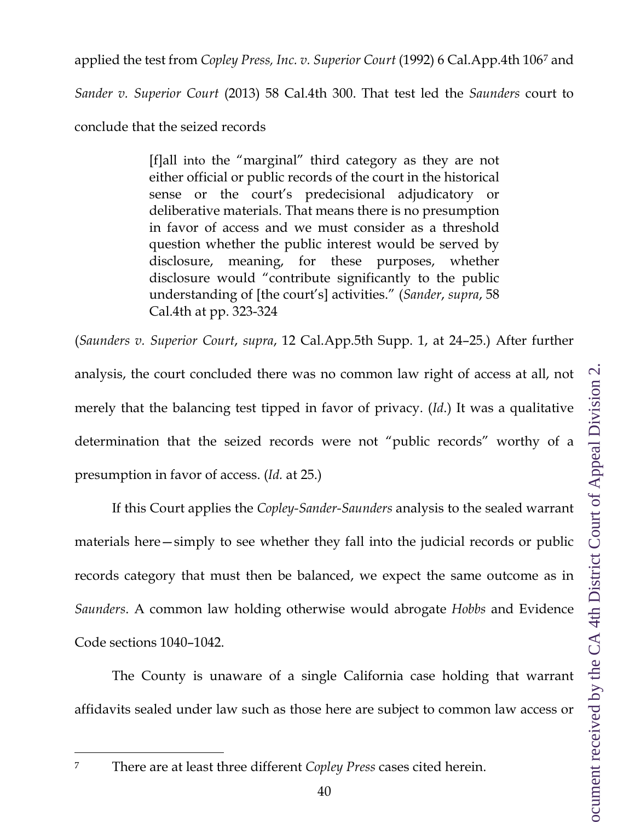applied the test from *Copley Press, Inc. v. Superior Court* (1992) 6 Cal.App.4th 106[7](#page-39-0) and

*Sander v. Superior Court* (2013) 58 Cal.4th 300. That test led the *Saunders* court to

conclude that the seized records

[f]all into the "marginal" third category as they are not either official or public records of the court in the historical sense or the court's predecisional adjudicatory or deliberative materials. That means there is no presumption in favor of access and we must consider as a threshold question whether the public interest would be served by disclosure, meaning, for these purposes, whether disclosure would "contribute significantly to the public understanding of [the court's] activities." (*Sander*, *supra*, 58 Cal.4th at pp. 323-324

(*Saunders v. Superior Court*, *supra*, 12 Cal.App.5th Supp. 1, at 24–25.) After further analysis, the court concluded there was no common law right of access at all, not merely that the balancing test tipped in favor of privacy. (*Id*.) It was a qualitative determination that the seized records were not "public records" worthy of a presumption in favor of access. (*Id.* at 25.)

If this Court applies the *Copley-Sander-Saunders* analysis to the sealed warrant materials here—simply to see whether they fall into the judicial records or public records category that must then be balanced, we expect the same outcome as in *Saunders*. A common law holding otherwise would abrogate *Hobbs* and Evidence Code sections 1040–1042.

The County is unaware of a single California case holding that warrant affidavits sealed under law such as those here are subject to common law access or

<span id="page-39-0"></span><sup>7</sup> There are at least three different *Copley Press* cases cited herein.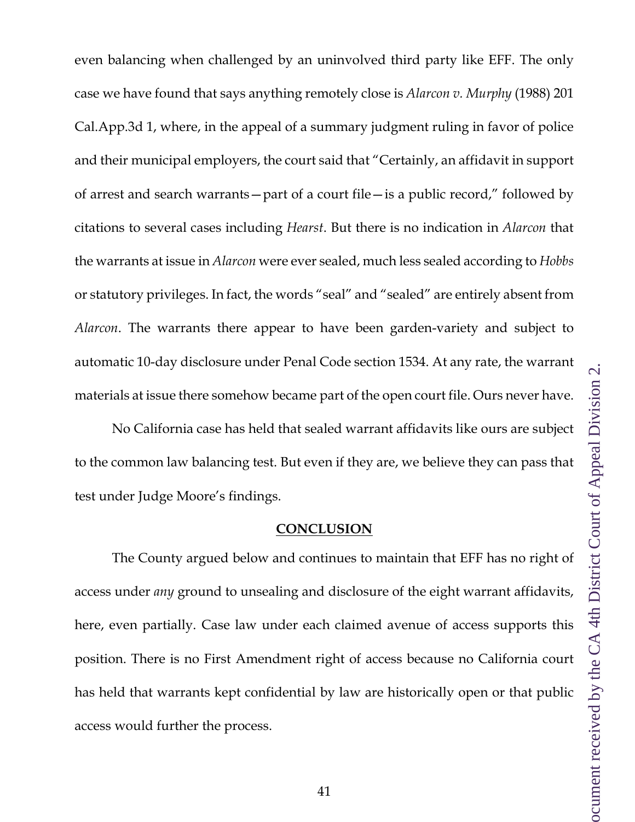even balancing when challenged by an uninvolved third party like EFF. The only case we have found that says anything remotely close is *Alarcon v. Murphy* (1988) 201 Cal.App.3d 1, where, in the appeal of a summary judgment ruling in favor of police and their municipal employers, the court said that "Certainly, an affidavit in support of arrest and search warrants—part of a court file—is a public record," followed by citations to several cases including *Hearst*. But there is no indication in *Alarcon* that the warrants at issue in *Alarcon* were ever sealed, much less sealed according to *Hobbs* or statutory privileges. In fact, the words "seal" and "sealed" are entirely absent from *Alarcon*. The warrants there appear to have been garden-variety and subject to automatic 10-day disclosure under Penal Code section 1534. At any rate, the warrant materials at issue there somehow became part of the open court file. Ours never have.

No California case has held that sealed warrant affidavits like ours are subject to the common law balancing test. But even if they are, we believe they can pass that test under Judge Moore's findings.

#### **CONCLUSION**

<span id="page-40-0"></span>The County argued below and continues to maintain that EFF has no right of access under *any* ground to unsealing and disclosure of the eight warrant affidavits, here, even partially. Case law under each claimed avenue of access supports this position. There is no First Amendment right of access because no California court has held that warrants kept confidential by law are historically open or that public access would further the process.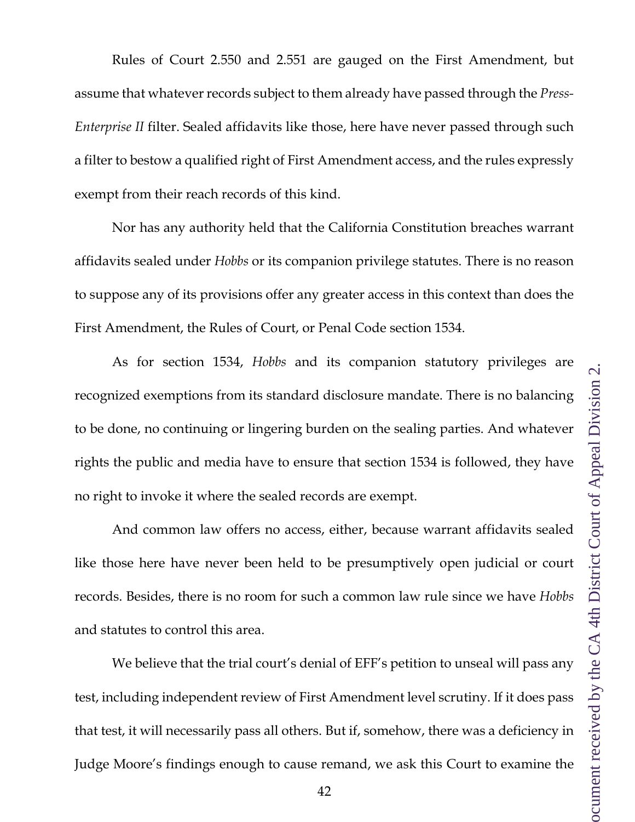assume that whatever records subject to them already have passed through the *Press-Enterprise II* filter. Sealed affidavits like those, here have never passed through such a filter to bestow a qualified right of First Amendment access, and the rules expressly exempt from their reach records of this kind.

Rules of Court 2.550 and 2.551 are gauged on the First Amendment, but

Nor has any authority held that the California Constitution breaches warrant affidavits sealed under *Hobbs* or its companion privilege statutes. There is no reason to suppose any of its provisions offer any greater access in this context than does the First Amendment, the Rules of Court, or Penal Code section 1534.

As for section 1534, *Hobbs* and its companion statutory privileges are recognized exemptions from its standard disclosure mandate. There is no balancing to be done, no continuing or lingering burden on the sealing parties. And whatever rights the public and media have to ensure that section 1534 is followed, they have no right to invoke it where the sealed records are exempt.

And common law offers no access, either, because warrant affidavits sealed like those here have never been held to be presumptively open judicial or court records. Besides, there is no room for such a common law rule since we have *Hobbs* and statutes to control this area.

We believe that the trial court's denial of EFF's petition to unseal will pass any test, including independent review of First Amendment level scrutiny. If it does pass that test, it will necessarily pass all others. But if, somehow, there was a deficiency in Judge Moore's findings enough to cause remand, we ask this Court to examine the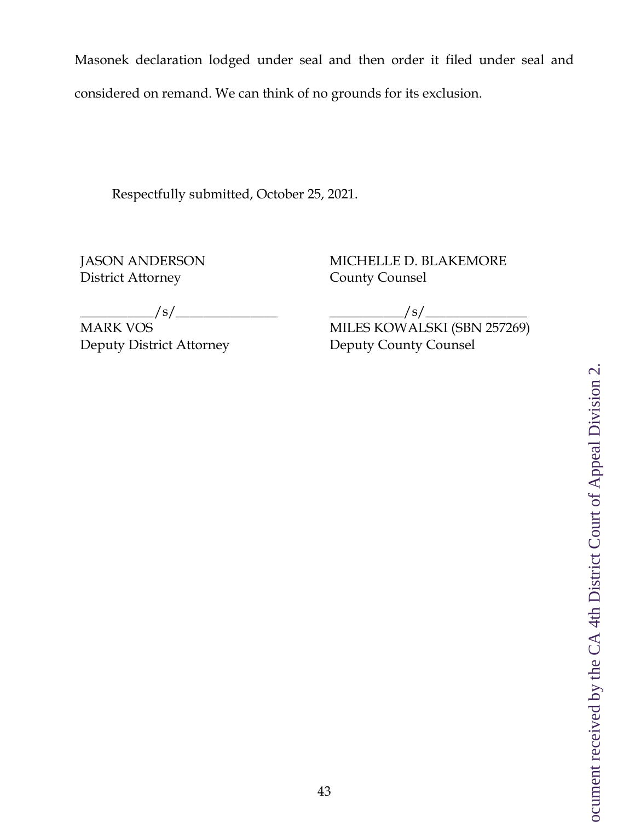Masonek declaration lodged under seal and then order it filed under seal and considered on remand. We can think of no grounds for its exclusion.

Respectfully submitted, October 25, 2021.

JASON ANDERSON District Attorney

MICHELLE D. BLAKEMORE County Counsel

 $\left/$  S/  $\_$ 

MARK VOS Deputy District Attorney

 $\frac{1}{s}$  /s/ $\frac{1}{s}$ MILES KOWALSKI (SBN 257269) Deputy County Counsel